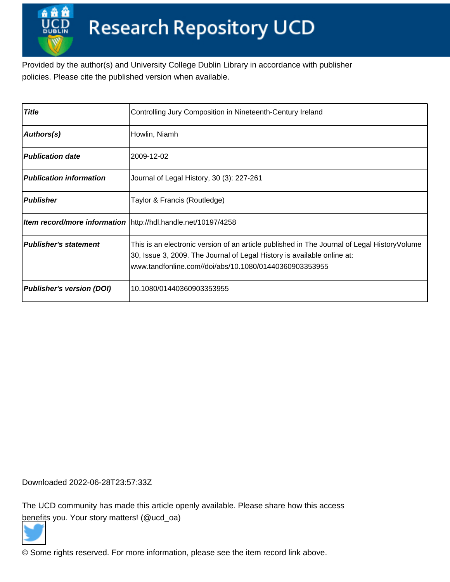Provided by the author(s) and University College Dublin Library in accordance with publisher policies. Please cite the published version when available.

| <b>Title</b>                     | Controlling Jury Composition in Nineteenth-Century Ireland                                                                                                                                                                        |
|----------------------------------|-----------------------------------------------------------------------------------------------------------------------------------------------------------------------------------------------------------------------------------|
| Authors(s)                       | Howlin, Niamh                                                                                                                                                                                                                     |
| <b>Publication date</b>          | 2009-12-02                                                                                                                                                                                                                        |
| <b>Publication information</b>   | Journal of Legal History, 30 (3): 227-261                                                                                                                                                                                         |
| <b>Publisher</b>                 | Taylor & Francis (Routledge)                                                                                                                                                                                                      |
|                                  | <b>Item record/more information</b> http://hdl.handle.net/10197/4258                                                                                                                                                              |
| <b>Publisher's statement</b>     | This is an electronic version of an article published in The Journal of Legal History Volume<br>30, Issue 3, 2009. The Journal of Legal History is available online at:<br>www.tandfonline.com//doi/abs/10.1080/01440360903353955 |
| <b>Publisher's version (DOI)</b> | 10.1080/01440360903353955                                                                                                                                                                                                         |

Downloaded 2022-06-28T23:57:33Z

The UCD community has made this article openly available. Please share how this access [benefit](https://twitter.com/intent/tweet?via=ucd_oa&text=DOI%3A10.1080%2F01440360903353955&url=http%3A%2F%2Fhdl.handle.net%2F10197%2F4258)s you. Your story matters! (@ucd\_oa)



© Some rights reserved. For more information, please see the item record link above.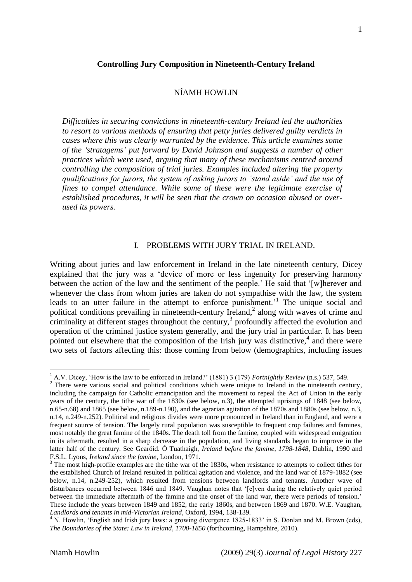#### **Controlling Jury Composition in Nineteenth-Century Ireland**

# NÍAMH HOWLIN

*Difficulties in securing convictions in nineteenth-century Ireland led the authorities to resort to various methods of ensuring that petty juries delivered guilty verdicts in cases where this was clearly warranted by the evidence. This article examines some of the 'stratagems' put forward by David Johnson and suggests a number of other practices which were used, arguing that many of these mechanisms centred around controlling the composition of trial juries. Examples included altering the property qualifications for jurors, the system of asking jurors to 'stand aside' and the use of fines to compel attendance. While some of these were the legitimate exercise of established procedures, it will be seen that the crown on occasion abused or overused its powers.*

## I. PROBLEMS WITH JURY TRIAL IN IRELAND.

Writing about juries and law enforcement in Ireland in the late nineteenth century, Dicey explained that the jury was a 'device of more or less ingenuity for preserving harmony between the action of the law and the sentiment of the people.' He said that '[w]herever and whenever the class from whom juries are taken do not sympathise with the law, the system leads to an utter failure in the attempt to enforce punishment.<sup>1</sup> The unique social and political conditions prevailing in nineteenth-century Ireland,<sup>2</sup> along with waves of crime and criminality at different stages throughout the century, $3$  profoundly affected the evolution and operation of the criminal justice system generally, and the jury trial in particular. It has been pointed out elsewhere that the composition of the Irish jury was distinctive, $4$  and there were two sets of factors affecting this: those coming from below (demographics, including issues

<sup>&</sup>lt;sup>1</sup> A.V. Dicey, 'How is the law to be enforced in Ireland?' (1881) 3 (179) *Fortnightly Review* (n.s.) 537, 549.

<sup>&</sup>lt;sup>2</sup> There were various social and political conditions which were unique to Ireland in the nineteenth century, including the campaign for Catholic emancipation and the movement to repeal the Act of Union in the early years of the century, the tithe war of the 1830s (see below, n.3), the attempted uprisings of 1848 (see below, n.65-n.68) and 1865 (see below, n.189-n.190), and the agrarian agitation of the 1870s and 1880s (see below, n.3, n.14, n.249-n.252). Political and religious divides were more pronounced in Ireland than in England, and were a frequent source of tension. The largely rural population was susceptible to frequent crop failures and famines, most notably the great famine of the 1840s. The death toll from the famine, coupled with widespread emigration in its aftermath, resulted in a sharp decrease in the population, and living standards began to improve in the latter half of the century. See Gearóid. Ó Tuathaigh, *Ireland before the famine*, *1798-1848*, Dublin, 1990 and F.S.L. Lyons, *Ireland since the famine*, London, 1971.

<sup>&</sup>lt;sup>3</sup> The most high-profile examples are the tithe war of the 1830s, when resistance to attempts to collect tithes for the established Church of Ireland resulted in political agitation and violence, and the land war of 1879-1882 (see below, n.14, n.249-252), which resulted from tensions between landlords and tenants. Another wave of disturbances occurred between 1846 and 1849. Vaughan notes that '[e]ven during the relatively quiet period between the immediate aftermath of the famine and the onset of the land war, there were periods of tension.' These include the years between 1849 and 1852, the early 1860s, and between 1869 and 1870. W.E. Vaughan, *Landlords and tenants in mid-Victorian Ireland*, Oxford, 1994, 138-139.

<sup>&</sup>lt;sup>4</sup> N. Howlin, 'English and Irish jury laws: a growing divergence 1825-1833' in S. Donlan and M. Brown (eds), *The Boundaries of the State: Law in Ireland*, *1700-1850* (forthcoming, Hampshire, 2010).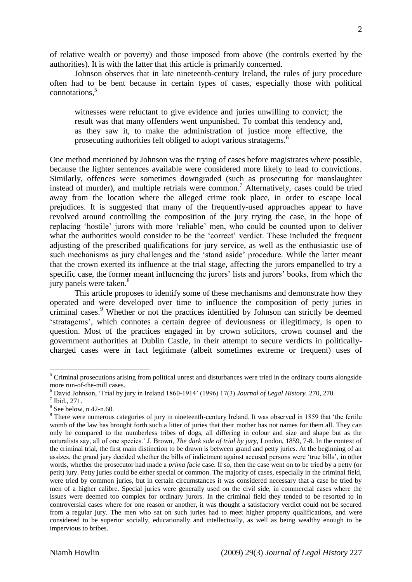of relative wealth or poverty) and those imposed from above (the controls exerted by the authorities). It is with the latter that this article is primarily concerned.

Johnson observes that in late nineteenth-century Ireland, the rules of jury procedure often had to be bent because in certain types of cases, especially those with political connotations.<sup>5</sup>

witnesses were reluctant to give evidence and juries unwilling to convict; the result was that many offenders went unpunished. To combat this tendency and, as they saw it, to make the administration of justice more effective, the prosecuting authorities felt obliged to adopt various stratagems.<sup>6</sup>

One method mentioned by Johnson was the trying of cases before magistrates where possible, because the lighter sentences available were considered more likely to lead to convictions. Similarly, offences were sometimes downgraded (such as prosecuting for manslaughter instead of murder), and multiple retrials were common.<sup>7</sup> Alternatively, cases could be tried away from the location where the alleged crime took place, in order to escape local prejudices. It is suggested that many of the frequently-used approaches appear to have revolved around controlling the composition of the jury trying the case, in the hope of replacing 'hostile' jurors with more 'reliable' men, who could be counted upon to deliver what the authorities would consider to be the 'correct' verdict. These included the frequent adjusting of the prescribed qualifications for jury service, as well as the enthusiastic use of such mechanisms as jury challenges and the 'stand aside' procedure. While the latter meant that the crown exerted its influence at the trial stage, affecting the jurors empanelled to try a specific case, the former meant influencing the jurors' lists and jurors' books, from which the jury panels were taken.<sup>8</sup>

This article proposes to identify some of these mechanisms and demonstrate how they operated and were developed over time to influence the composition of petty juries in criminal cases.<sup>9</sup> Whether or not the practices identified by Johnson can strictly be deemed 'stratagems', which connotes a certain degree of deviousness or illegitimacy, is open to question. Most of the practices engaged in by crown solicitors, crown counsel and the government authorities at Dublin Castle, in their attempt to secure verdicts in politicallycharged cases were in fact legitimate (albeit sometimes extreme or frequent) uses of

<sup>&</sup>lt;sup>5</sup> Criminal prosecutions arising from political unrest and disturbances were tried in the ordinary courts alongside more run-of-the-mill cases.

<sup>6</sup> David Johnson, 'Trial by jury in Ireland 1860-1914' (1996) 17(3) *Journal of Legal History.* 270, 270.

 $<sup>7</sup>$  Ibid., 271.</sup>

 $8$  See below, n.42-n.60.

<sup>&</sup>lt;sup>9</sup> There were numerous categories of jury in nineteenth-century Ireland. It was observed in 1859 that 'the fertile womb of the law has brought forth such a litter of juries that their mother has not names for them all. They can only be compared to the numberless tribes of dogs, all differing in colour and size and shape but as the naturalists say, all of one species.' J. Brown, *The dark side of trial by jury*, London, 1859, 7-8. In the context of the criminal trial, the first main distinction to be drawn is between grand and petty juries. At the beginning of an assizes, the grand jury decided whether the bills of indictment against accused persons were 'true bills', in other words, whether the prosecutor had made a *prima facie* case. If so, then the case went on to be tried by a petty (or petit) jury. Petty juries could be either special or common. The majority of cases, especially in the criminal field, were tried by common juries, but in certain circumstances it was considered necessary that a case be tried by men of a higher calibre. Special juries were generally used on the civil side, in commercial cases where the issues were deemed too complex for ordinary jurors. In the criminal field they tended to be resorted to in controversial cases where for one reason or another, it was thought a satisfactory verdict could not be secured from a regular jury. The men who sat on such juries had to meet higher property qualifications, and were considered to be superior socially, educationally and intellectually, as well as being wealthy enough to be impervious to bribes.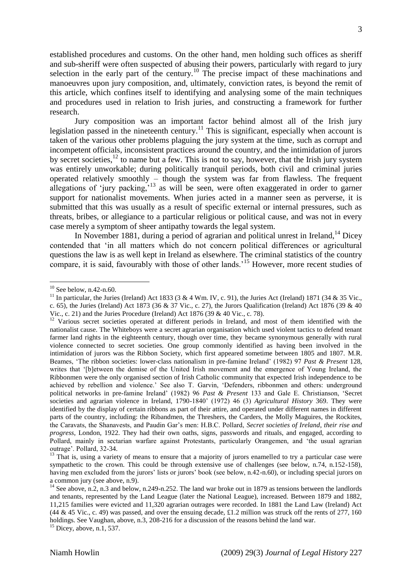established procedures and customs. On the other hand, men holding such offices as sheriff and sub-sheriff were often suspected of abusing their powers, particularly with regard to jury selection in the early part of the century.<sup>10</sup> The precise impact of these machinations and manoeuvres upon jury composition, and, ultimately, conviction rates, is beyond the remit of this article, which confines itself to identifying and analysing some of the main techniques and procedures used in relation to Irish juries, and constructing a framework for further research.

Jury composition was an important factor behind almost all of the Irish jury legislation passed in the nineteenth century.<sup>11</sup> This is significant, especially when account is taken of the various other problems plaguing the jury system at the time, such as corrupt and incompetent officials, inconsistent practices around the country, and the intimidation of jurors by secret societies, $^{12}$  to name but a few. This is not to say, however, that the Irish jury system was entirely unworkable; during politically tranquil periods, both civil and criminal juries operated relatively smoothly – though the system was far from flawless. The frequent allegations of 'jury packing,'<sup>13</sup> as will be seen, were often exaggerated in order to garner support for nationalist movements. When juries acted in a manner seen as perverse, it is submitted that this was usually as a result of specific external or internal pressures, such as threats, bribes, or allegiance to a particular religious or political cause, and was not in every case merely a symptom of sheer antipathy towards the legal system.

In November 1881, during a period of agrarian and political unrest in Ireland,<sup>14</sup> Dicey contended that 'in all matters which do not concern political differences or agricultural questions the law is as well kept in Ireland as elsewhere. The criminal statistics of the country compare, it is said, favourably with those of other lands.<sup>15</sup> However, more recent studies of

<u>.</u>

 $15$  Dicey, above, n.1, 537.

 $10$  See below, n.42-n.60.

<sup>&</sup>lt;sup>11</sup> In particular, the Juries (Ireland) Act 1833 (3 & 4 Wm. IV, c. 91), the Juries Act (Ireland) 1871 (34 & 35 Vic., c. 65), the Juries (Ireland) Act 1873 (36 & 37 Vic., c. 27), the Jurors Qualification (Ireland) Act 1876 (39 & 40 Vic., c. 21) and the Juries Procedure (Ireland) Act 1876 (39 & 40 Vic., c. 78).

<sup>&</sup>lt;sup>12</sup> Various secret societies operated at different periods in Ireland, and most of them identified with the nationalist cause. The Whiteboys were a secret agrarian organisation which used violent tactics to defend tenant farmer land rights in the eighteenth century, though over time, they became synonymous generally with rural violence connected to secret societies. One group commonly identified as having been involved in the intimidation of jurors was the Ribbon Society, which first appeared sometime between 1805 and 1807. M.R. Beames, 'The ribbon societies: lower-class nationalism in pre-famine Ireland' (1982) 97 *Past & Present* 128, writes that '[b]etween the demise of the United Irish movement and the emergence of Young Ireland, the Ribbonmen were the only organised section of Irish Catholic community that expected Irish independence to be achieved by rebellion and violence.' See also T. Garvin, 'Defenders, ribbonmen and others: underground political networks in pre-famine Ireland' (1982) 96 *Past & Present* 133 and Gale E. Christianson, 'Secret societies and agrarian violence in Ireland, 1790-1840' (1972) 46 (3) *Agricultural History* 369. They were identified by the display of certain ribbons as part of their attire, and operated under different names in different parts of the country, including: the Ribandmen, the Threshers, the Carders, the Molly Maguires, the Rockites, the Caravats, the Shanavests, and Paudin Gar's men: H.B.C. Pollard, *Secret societies of Ireland*, *their rise and progress*, London, 1922. They had their own oaths, signs, passwords and rituals, and engaged, according to Pollard, mainly in sectarian warfare against Protestants, particularly Orangemen, and 'the usual agrarian outrage'. Pollard, 32-34.

 $13$  That is, using a variety of means to ensure that a majority of jurors enamelled to try a particular case were sympathetic to the crown. This could be through extensive use of challenges (see below, n.74, n.152-158), having men excluded from the jurors' lists or jurors' book (see below, n.42-n.60), or including special jurors on a common jury (see above, n.9).

<sup>&</sup>lt;sup>14</sup> See above, n.2, n.3 and below, n.249-n.252. The land war broke out in 1879 as tensions between the landlords and tenants, represented by the Land League (later the National League), increased. Between 1879 and 1882, 11,215 families were evicted and 11,320 agrarian outrages were recorded. In 1881 the Land Law (Ireland) Act  $(44 \& 45 \text{ Vic.}, c. 49)$  was passed, and over the ensuing decade, £1.2 million was struck off the rents of 277, 160 holdings. See Vaughan, above, n.3, 208-216 for a discussion of the reasons behind the land war.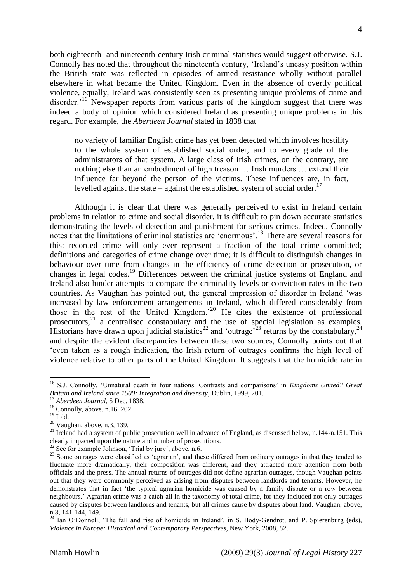both eighteenth- and nineteenth-century Irish criminal statistics would suggest otherwise. S.J. Connolly has noted that throughout the nineteenth century, 'Ireland's uneasy position within the British state was reflected in episodes of armed resistance wholly without parallel elsewhere in what became the United Kingdom. Even in the absence of overtly political violence, equally, Ireland was consistently seen as presenting unique problems of crime and disorder.<sup>16</sup> Newspaper reports from various parts of the kingdom suggest that there was indeed a body of opinion which considered Ireland as presenting unique problems in this regard. For example, the *Aberdeen Journal* stated in 1838 that

no variety of familiar English crime has yet been detected which involves hostility to the whole system of established social order, and to every grade of the administrators of that system. A large class of Irish crimes, on the contrary, are nothing else than an embodiment of high treason … Irish murders … extend their influence far beyond the person of the victims. These influences are, in fact, levelled against the state – against the established system of social order.<sup>17</sup>

Although it is clear that there was generally perceived to exist in Ireland certain problems in relation to crime and social disorder, it is difficult to pin down accurate statistics demonstrating the levels of detection and punishment for serious crimes. Indeed, Connolly notes that the limitations of criminal statistics are 'enormous'.<sup>18</sup> There are several reasons for this: recorded crime will only ever represent a fraction of the total crime committed; definitions and categories of crime change over time; it is difficult to distinguish changes in behaviour over time from changes in the efficiency of crime detection or prosecution, or changes in legal codes.<sup>19</sup> Differences between the criminal justice systems of England and Ireland also hinder attempts to compare the criminality levels or conviction rates in the two countries. As Vaughan has pointed out, the general impression of disorder in Ireland 'was increased by law enforcement arrangements in Ireland, which differed considerably from those in the rest of the United Kingdom.'<sup>20</sup> He cites the existence of professional prosecutors, $21$  a centralised constabulary and the use of special legislation as examples. Historians have drawn upon judicial statistics<sup>22</sup> and 'outrage'<sup>23</sup> returns by the constabulary,<sup>24</sup> and despite the evident discrepancies between these two sources, Connolly points out that 'even taken as a rough indication, the Irish return of outrages confirms the high level of violence relative to other parts of the United Kingdom. It suggests that the homicide rate in

<sup>16</sup> S.J. Connolly, 'Unnatural death in four nations: Contrasts and comparisons' in *Kingdoms United? Great Britain and Ireland since 1500: Integration and diversity*, Dublin, 1999, 201.

<sup>17</sup> *Aberdeen Journal*, 5 Dec. 1838.

<sup>&</sup>lt;sup>18</sup> Connolly, above, n.16, 202.

 $19$  Ibid.

 $20$  Vaughan, above, n.3, 139.

 $21$  Ireland had a system of public prosecution well in advance of England, as discussed below, n.144-n.151. This clearly impacted upon the nature and number of prosecutions.

 $22$  See for example Johnson, 'Trial by jury', above, n.6.

<sup>&</sup>lt;sup>23</sup> Some outrages were classified as 'agrarian', and these differed from ordinary outrages in that they tended to fluctuate more dramatically, their composition was different, and they attracted more attention from both officials and the press. The annual returns of outrages did not define agrarian outrages, though Vaughan points out that they were commonly perceived as arising from disputes between landlords and tenants. However, he demonstrates that in fact 'the typical agrarian homicide was caused by a family dispute or a row between neighbours.' Agrarian crime was a catch-all in the taxonomy of total crime, for they included not only outrages caused by disputes between landlords and tenants, but all crimes cause by disputes about land. Vaughan, above, n.3, 141-144, 149.

 $24$  Ian O'Donnell, 'The fall and rise of homicide in Ireland', in S. Body-Gendrot, and P. Spierenburg (eds), *Violence in Europe: Historical and Contemporary Perspectives*, New York, 2008, 82.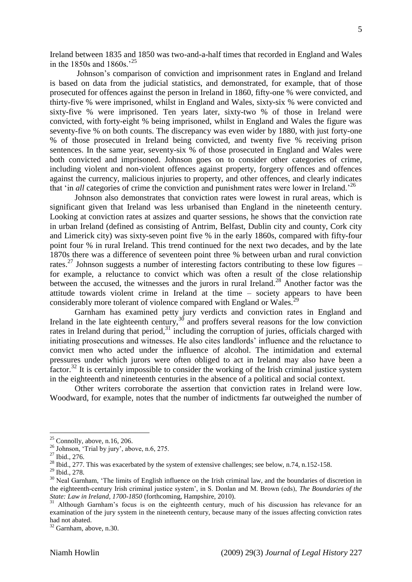Ireland between 1835 and 1850 was two-and-a-half times that recorded in England and Wales in the 1850s and 1860s.'<sup>25</sup>

Johnson's comparison of conviction and imprisonment rates in England and Ireland is based on data from the judicial statistics, and demonstrated, for example, that of those prosecuted for offences against the person in Ireland in 1860, fifty-one % were convicted, and thirty-five % were imprisoned, whilst in England and Wales, sixty-six % were convicted and sixty-five % were imprisoned. Ten years later, sixty-two % of those in Ireland were convicted, with forty-eight % being imprisoned, whilst in England and Wales the figure was seventy-five % on both counts. The discrepancy was even wider by 1880, with just forty-one % of those prosecuted in Ireland being convicted, and twenty five % receiving prison sentences. In the same year, seventy-six % of those prosecuted in England and Wales were both convicted and imprisoned. Johnson goes on to consider other categories of crime, including violent and non-violent offences against property, forgery offences and offences against the currency, malicious injuries to property, and other offences, and clearly indicates that 'in *all* categories of crime the conviction and punishment rates were lower in Ireland.'<sup>26</sup>

Johnson also demonstrates that conviction rates were lowest in rural areas, which is significant given that Ireland was less urbanised than England in the nineteenth century. Looking at conviction rates at assizes and quarter sessions, he shows that the conviction rate in urban Ireland (defined as consisting of Antrim, Belfast, Dublin city and county, Cork city and Limerick city) was sixty-seven point five % in the early 1860s, compared with fifty-four point four % in rural Ireland. This trend continued for the next two decades, and by the late 1870s there was a difference of seventeen point three % between urban and rural conviction rates.<sup>27</sup> Johnson suggests a number of interesting factors contributing to these low figures – for example, a reluctance to convict which was often a result of the close relationship between the accused, the witnesses and the jurors in rural Ireland.<sup>28</sup> Another factor was the attitude towards violent crime in Ireland at the time – society appears to have been considerably more tolerant of violence compared with England or Wales.<sup>2</sup>

Garnham has examined petty jury verdicts and conviction rates in England and Ireland in the late eighteenth century,  $30$  and proffers several reasons for the low conviction rates in Ireland during that period, $31$  including the corruption of juries, officials charged with initiating prosecutions and witnesses. He also cites landlords' influence and the reluctance to convict men who acted under the influence of alcohol. The intimidation and external pressures under which jurors were often obliged to act in Ireland may also have been a factor.<sup>32</sup> It is certainly impossible to consider the working of the Irish criminal justice system in the eighteenth and nineteenth centuries in the absence of a political and social context.

Other writers corroborate the assertion that conviction rates in Ireland were low. Woodward, for example, notes that the number of indictments far outweighed the number of

1

 $32$  Garnham, above, n.30.

 $25$  Connolly, above, n.16, 206.

<sup>&</sup>lt;sup>26</sup> Johnson, 'Trial by jury', above, n.6, 275.

<sup>27</sup> Ibid., 276.

<sup>&</sup>lt;sup>28</sup> Ibid., 277. This was exacerbated by the system of extensive challenges; see below, n.74, n.152-158.

<sup>29</sup> Ibid., 278.

<sup>&</sup>lt;sup>30</sup> Neal Garnham, 'The limits of English influence on the Irish criminal law, and the boundaries of discretion in the eighteenth-century Irish criminal justice system', in S. Donlan and M. Brown (eds), *The Boundaries of the State: Law in Ireland*, *1700-1850* (forthcoming, Hampshire, 2010).

<sup>&</sup>lt;sup>31</sup> Although Garnham's focus is on the eighteenth century, much of his discussion has relevance for an examination of the jury system in the nineteenth century, because many of the issues affecting conviction rates had not abated.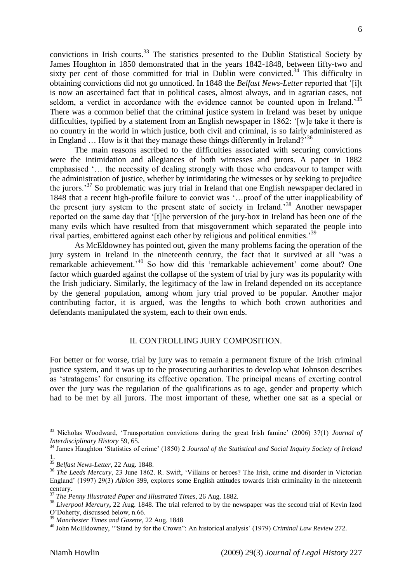convictions in Irish courts.<sup>33</sup> The statistics presented to the Dublin Statistical Society by James Houghton in 1850 demonstrated that in the years 1842-1848, between fifty-two and sixty per cent of those committed for trial in Dublin were convicted.<sup>34</sup> This difficulty in obtaining convictions did not go unnoticed. In 1848 the *Belfast News-Letter* reported that '[i]t is now an ascertained fact that in political cases, almost always, and in agrarian cases, not seldom, a verdict in accordance with the evidence cannot be counted upon in Ireland.<sup>35</sup> There was a common belief that the criminal justice system in Ireland was beset by unique difficulties, typified by a statement from an English newspaper in 1862: '[w]e take it there is no country in the world in which justice, both civil and criminal, is so fairly administered as in England  $\ldots$  How is it that they manage these things differently in Ireland?<sup>36</sup>

The main reasons ascribed to the difficulties associated with securing convictions were the intimidation and allegiances of both witnesses and jurors. A paper in 1882 emphasised '… the necessity of dealing strongly with those who endeavour to tamper with the administration of justice, whether by intimidating the witnesses or by seeking to prejudice the jurors.'<sup>37</sup> So problematic was jury trial in Ireland that one English newspaper declared in 1848 that a recent high-profile failure to convict was '…proof of the utter inapplicability of the present jury system to the present state of society in Ireland.<sup>38</sup> Another newspaper reported on the same day that '[t]he perversion of the jury-box in Ireland has been one of the many evils which have resulted from that misgovernment which separated the people into rival parties, embittered against each other by religious and political enmities.'<sup>39</sup>

As McEldowney has pointed out, given the many problems facing the operation of the jury system in Ireland in the nineteenth century, the fact that it survived at all 'was a remarkable achievement.' <sup>40</sup> So how did this 'remarkable achievement' come about? One factor which guarded against the collapse of the system of trial by jury was its popularity with the Irish judiciary. Similarly, the legitimacy of the law in Ireland depended on its acceptance by the general population, among whom jury trial proved to be popular. Another major contributing factor, it is argued, was the lengths to which both crown authorities and defendants manipulated the system, each to their own ends.

## II. CONTROLLING JURY COMPOSITION.

For better or for worse, trial by jury was to remain a permanent fixture of the Irish criminal justice system, and it was up to the prosecuting authorities to develop what Johnson describes as 'stratagems' for ensuring its effective operation. The principal means of exerting control over the jury was the regulation of the qualifications as to age, gender and property which had to be met by all jurors. The most important of these, whether one sat as a special or

<sup>33</sup> Nicholas Woodward, 'Transportation convictions during the great Irish famine' (2006) 37(1) *Journal of Interdisciplinary History* 59, 65.

<sup>34</sup> James Haughton 'Statistics of crime' (1850) 2 *Journal of the Statistical and Social Inquiry Society of Ireland* 1.

<sup>35</sup> *Belfast News-Letter*, 22 Aug. 1848.

<sup>&</sup>lt;sup>36</sup> *The Leeds Mercury*, 23 June 1862. R. Swift, 'Villains or heroes? The Irish, crime and disorder in Victorian England' (1997) 29(3) *Albion* 399, explores some English attitudes towards Irish criminality in the nineteenth century.

<sup>37</sup> *The Penny Illustrated Paper and Illustrated Times*, 26 Aug. 1882.

<sup>&</sup>lt;sup>38</sup> *Liverpool Mercury*, 22 Aug. 1848. The trial referred to by the newspaper was the second trial of Kevin Izod O'Doherty, discussed below, n.66.

<sup>39</sup> *Manchester Times and Gazette*, 22 Aug. 1848

<sup>40</sup> John McEldowney, '"Stand by for the Crown": An historical analysis' (1979) *Criminal Law Review* 272.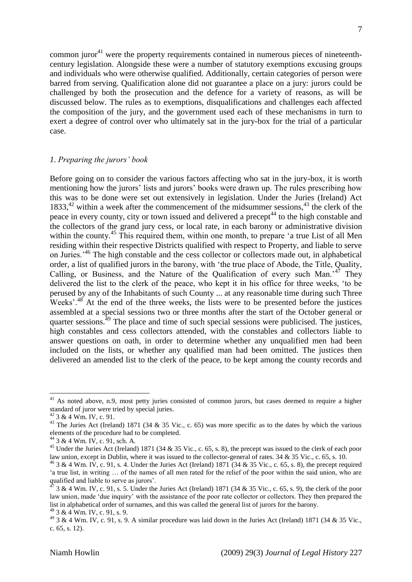common juror<sup>41</sup> were the property requirements contained in numerous pieces of nineteenthcentury legislation. Alongside these were a number of statutory exemptions excusing groups and individuals who were otherwise qualified. Additionally, certain categories of person were barred from serving. Qualification alone did not guarantee a place on a jury: jurors could be challenged by both the prosecution and the defence for a variety of reasons, as will be discussed below. The rules as to exemptions, disqualifications and challenges each affected the composition of the jury, and the government used each of these mechanisms in turn to exert a degree of control over who ultimately sat in the jury-box for the trial of a particular case.

## *1. Preparing the jurors' book*

Before going on to consider the various factors affecting who sat in the jury-box, it is worth mentioning how the jurors' lists and jurors' books were drawn up. The rules prescribing how this was to be done were set out extensively in legislation. Under the Juries (Ireland) Act 1833,<sup>42</sup> within a week after the commencement of the midsummer sessions,<sup>43</sup> the clerk of the peace in every county, city or town issued and delivered a precept<sup>44</sup> to the high constable and the collectors of the grand jury cess, or local rate, in each barony or administrative division within the county.<sup>45</sup> This required them, within one month, to prepare 'a true List of all Men residing within their respective Districts qualified with respect to Property, and liable to serve on Juries.'<sup>46</sup> The high constable and the cess collector or collectors made out, in alphabetical order, a list of qualified jurors in the barony, with 'the true place of Abode, the Title, Quality, Calling, or Business, and the Nature of the Qualification of every such Man.'<sup>47</sup> They delivered the list to the clerk of the peace, who kept it in his office for three weeks, 'to be perused by any of the Inhabitants of such County ... at any reasonable time during such Three Weeks'.<sup>48</sup> At the end of the three weeks, the lists were to be presented before the justices assembled at a special sessions two or three months after the start of the October general or quarter sessions.<sup>49</sup> The place and time of such special sessions were publicised. The justices, high constables and cess collectors attended, with the constables and collectors liable to answer questions on oath, in order to determine whether any unqualified men had been included on the lists, or whether any qualified man had been omitted. The justices then delivered an amended list to the clerk of the peace, to be kept among the county records and

<sup>&</sup>lt;sup>41</sup> As noted above, n.9, most petty juries consisted of common jurors, but cases deemed to require a higher standard of juror were tried by special juries.

 $42$  3 & 4 Wm. IV, c. 91.

<sup>&</sup>lt;sup>43</sup> The Juries Act (Ireland) 1871 (34 & 35 Vic., c. 65) was more specific as to the dates by which the various elements of the procedure had to be completed.

 $44$  3 & 4 Wm. IV, c. 91, sch. A.

<sup>&</sup>lt;sup>45</sup> Under the Juries Act (Ireland) 1871 (34  $\&$  35 Vic., c. 65, s. 8), the precept was issued to the clerk of each poor law union, except in Dublin, where it was issued to the collector-general of rates. 34 & 35 Vic., c. 65, s. 10.

 $^{46}$  3 & 4 Wm. IV, c. 91, s. 4. Under the Juries Act (Ireland) 1871 (34 & 35 Vic., c. 65, s. 8), the precept required 'a true list, in writing … of the names of all men rated for the relief of the poor within the said union, who are qualified and liable to serve as jurors'.

 $^{7}$  3 & 4 Wm. IV, c. 91, s. 5. Under the Juries Act (Ireland) 1871 (34 & 35 Vic., c. 65, s. 9), the clerk of the poor law union, made 'due inquiry' with the assistance of the poor rate collector or collectors. They then prepared the list in alphabetical order of surnames, and this was called the general list of jurors for the barony.  $48$  3 & 4 Wm. IV, c. 91, s. 9.

 $49$  3 & 4 Wm. IV, c. 91, s. 9. A similar procedure was laid down in the Juries Act (Ireland) 1871 (34 & 35 Vic.,

c. 65, s. 12).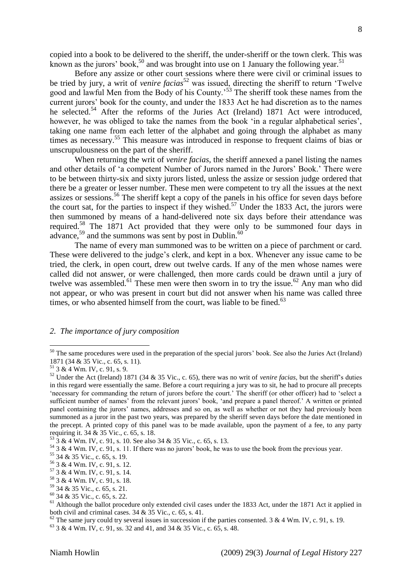copied into a book to be delivered to the sheriff, the under-sheriff or the town clerk. This was known as the jurors' book,<sup>50</sup> and was brought into use on 1 January the following year.<sup>51</sup>

Before any assize or other court sessions where there were civil or criminal issues to be tried by jury, a writ of *venire facias*<sup>52</sup> was issued, directing the sheriff to return 'Twelve good and lawful Men from the Body of his County.'<sup>53</sup> The sheriff took these names from the current jurors' book for the county, and under the 1833 Act he had discretion as to the names he selected.<sup>54</sup> After the reforms of the Juries Act (Ireland) 1871 Act were introduced, however, he was obliged to take the names from the book 'in a regular alphabetical series', taking one name from each letter of the alphabet and going through the alphabet as many times as necessary.<sup>55</sup> This measure was introduced in response to frequent claims of bias or unscrupulousness on the part of the sheriff.

When returning the writ of *venire facias*, the sheriff annexed a panel listing the names and other details of 'a competent Number of Jurors named in the Jurors' Book.' There were to be between thirty-six and sixty jurors listed, unless the assize or session judge ordered that there be a greater or lesser number. These men were competent to try all the issues at the next assizes or sessions.<sup>56</sup> The sheriff kept a copy of the panels in his office for seven days before the court sat, for the parties to inspect if they wished.<sup>57</sup> Under the 1833 Act, the jurors were then summoned by means of a hand-delivered note six days before their attendance was required.<sup>58</sup> The 1871 Act provided that they were only to be summoned four days in advance,<sup>59</sup> and the summons was sent by post in Dublin.<sup>60</sup>

The name of every man summoned was to be written on a piece of parchment or card. These were delivered to the judge's clerk, and kept in a box. Whenever any issue came to be tried, the clerk, in open court, drew out twelve cards. If any of the men whose names were called did not answer, or were challenged, then more cards could be drawn until a jury of twelve was assembled.<sup>61</sup> These men were then sworn in to try the issue.<sup>62</sup> Any man who did not appear, or who was present in court but did not answer when his name was called three times, or who absented himself from the court, was liable to be fined.<sup>63</sup>

## *2. The importance of jury composition*

1

- <sup>57</sup> 3 & 4 Wm. IV, c. 91, s. 14.
- <sup>58</sup> 3 & 4 Wm. IV, c. 91, s. 18.

<sup>60</sup> 34 & 35 Vic., c. 65, s. 22.

<sup>&</sup>lt;sup>50</sup> The same procedures were used in the preparation of the special jurors' book. See also the Juries Act (Ireland) 1871 (34 & 35 Vic., c. 65, s. 11).

 $51$  3 & 4 Wm. IV, c. 91, s. 9.

<sup>52</sup> Under the Act (Ireland) 1871 (34 & 35 Vic., c. 65), there was no writ of *venire facias*, but the sheriff's duties in this regard were essentially the same. Before a court requiring a jury was to sit, he had to procure all precepts 'necessary for commanding the return of jurors before the court.' The sheriff (or other officer) had to 'select a sufficient number of names' from the relevant jurors' book, 'and prepare a panel thereof.' A written or printed panel containing the jurors' names, addresses and so on, as well as whether or not they had previously been summoned as a juror in the past two years, was prepared by the sheriff seven days before the date mentioned in the precept. A printed copy of this panel was to be made available, upon the payment of a fee, to any party requiring it. 34 & 35 Vic., c. 65, s. 18.

<sup>53</sup> 3 & 4 Wm. IV, c. 91, s. 10. See also 34 & 35 Vic., c. 65, s. 13.

<sup>54</sup> 3 & 4 Wm. IV, c. 91, s. 11. If there was no jurors' book, he was to use the book from the previous year.

<sup>55</sup> 34 & 35 Vic., c. 65, s. 19.

<sup>56</sup> 3 & 4 Wm. IV, c. 91, s. 12.

<sup>59</sup> 34 & 35 Vic., c. 65, s. 21.

<sup>&</sup>lt;sup>61</sup> Although the ballot procedure only extended civil cases under the 1833 Act, under the 1871 Act it applied in both civil and criminal cases. 34 & 35 Vic., c. 65, s. 41.

 $62$  The same jury could try several issues in succession if the parties consented. 3 & 4 Wm. IV, c. 91, s. 19.

 $63$  3 & 4 Wm. IV, c. 91, ss. 32 and 41, and 34 & 35 Vic., c. 65, s. 48.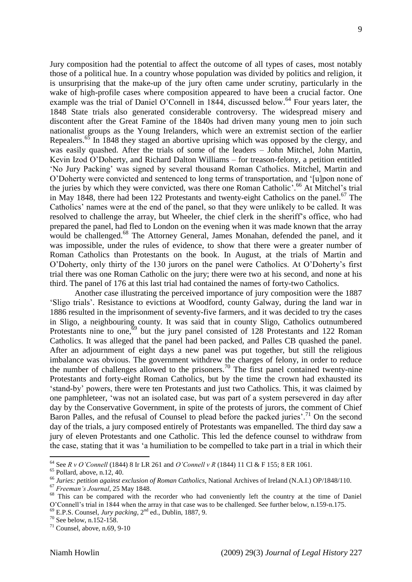Jury composition had the potential to affect the outcome of all types of cases, most notably those of a political hue. In a country whose population was divided by politics and religion, it is unsurprising that the make-up of the jury often came under scrutiny, particularly in the wake of high-profile cases where composition appeared to have been a crucial factor. One example was the trial of Daniel O'Connell in 1844, discussed below. <sup>64</sup> Four years later, the 1848 State trials also generated considerable controversy. The widespread misery and discontent after the Great Famine of the 1840s had driven many young men to join such nationalist groups as the Young Irelanders, which were an extremist section of the earlier Repealers.<sup>65</sup> In 1848 they staged an abortive uprising which was opposed by the clergy, and was easily quashed. After the trials of some of the leaders – John Mitchel, John Martin, Kevin Izod O'Doherty, and Richard Dalton Williams – for treason-felony, a petition entitled 'No Jury Packing' was signed by several thousand Roman Catholics. Mitchel, Martin and O'Doherty were convicted and sentenced to long terms of transportation, and '[u]pon none of the juries by which they were convicted, was there one Roman Catholic'. <sup>66</sup> At Mitchel's trial in May 1848, there had been 122 Protestants and twenty-eight Catholics on the panel. <sup>67</sup> The Catholics' names were at the end of the panel, so that they were unlikely to be called. It was resolved to challenge the array, but Wheeler, the chief clerk in the sheriff's office, who had prepared the panel, had fled to London on the evening when it was made known that the array would be challenged.<sup>68</sup> The Attorney General, James Monahan, defended the panel, and it was impossible, under the rules of evidence, to show that there were a greater number of Roman Catholics than Protestants on the book. In August, at the trials of Martin and O'Doherty, only thirty of the 130 jurors on the panel were Catholics. At O'Doherty's first trial there was one Roman Catholic on the jury; there were two at his second, and none at his third. The panel of 176 at this last trial had contained the names of forty-two Catholics.

Another case illustrating the perceived importance of jury composition were the 1887 'Sligo trials'. Resistance to evictions at Woodford, county Galway, during the land war in 1886 resulted in the imprisonment of seventy-five farmers, and it was decided to try the cases in Sligo, a neighbouring county. It was said that in county Sligo, Catholics outnumbered Protestants nine to one, $69$  but the jury panel consisted of 128 Protestants and 122 Roman Catholics. It was alleged that the panel had been packed, and Palles CB quashed the panel. After an adjournment of eight days a new panel was put together, but still the religious imbalance was obvious. The government withdrew the charges of felony, in order to reduce the number of challenges allowed to the prisoners.<sup>70</sup> The first panel contained twenty-nine Protestants and forty-eight Roman Catholics, but by the time the crown had exhausted its 'stand-by' powers, there were ten Protestants and just two Catholics. This, it was claimed by one pamphleteer, 'was not an isolated case, but was part of a system persevered in day after day by the Conservative Government, in spite of the protests of jurors, the comment of Chief Baron Palles, and the refusal of Counsel to plead before the packed juries'.<sup>71</sup> On the second day of the trials, a jury composed entirely of Protestants was empanelled. The third day saw a jury of eleven Protestants and one Catholic. This led the defence counsel to withdraw from the case, stating that it was 'a humiliation to be compelled to take part in a trial in which their

<sup>64</sup> See *R v O'Connell* (1844) 8 Ir LR 261 and *O'Connell v R* (1844) 11 Cl & F 155; 8 ER 1061.

 $<sup>65</sup>$  Pollard, above, n.12, 40.</sup>

<sup>66</sup> *Juries: petition against exclusion of Roman Catholics*, National Archives of Ireland (N.A.I.) OP/1848/110.

<sup>67</sup> *Freeman's Journal*, 25 May 1848.

<sup>&</sup>lt;sup>68</sup> This can be compared with the recorder who had conveniently left the country at the time of Daniel O'Connell's trial in 1844 when the array in that case was to be challenged. See further below, n.159-n.175.

 $^{69}$  E.P.S. Counsel, *Jury packing*,  $2<sup>nd</sup>$  ed., Dublin, 1887, 9.

<sup>70</sup> See below, n.152-158.

 $71$  Counsel, above, n.69, 9-10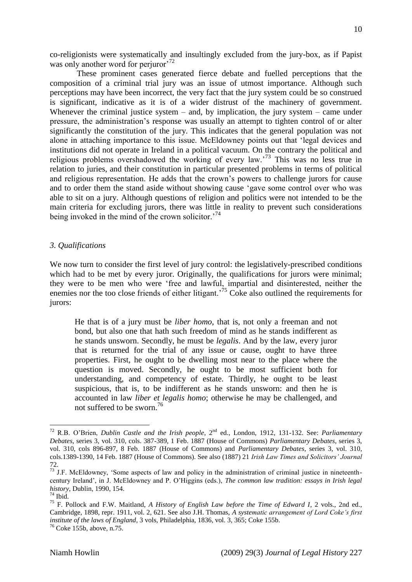co-religionists were systematically and insultingly excluded from the jury-box, as if Papist was only another word for perjuror<sup>72</sup>

These prominent cases generated fierce debate and fuelled perceptions that the composition of a criminal trial jury was an issue of utmost importance. Although such perceptions may have been incorrect, the very fact that the jury system could be so construed is significant, indicative as it is of a wider distrust of the machinery of government. Whenever the criminal justice system – and, by implication, the jury system – came under pressure, the administration's response was usually an attempt to tighten control of or alter significantly the constitution of the jury. This indicates that the general population was not alone in attaching importance to this issue. McEldowney points out that 'legal devices and institutions did not operate in Ireland in a political vacuum. On the contrary the political and religious problems overshadowed the working of every law.'<sup>73</sup> This was no less true in relation to juries, and their constitution in particular presented problems in terms of political and religious representation. He adds that the crown's powers to challenge jurors for cause and to order them the stand aside without showing cause 'gave some control over who was able to sit on a jury. Although questions of religion and politics were not intended to be the main criteria for excluding jurors, there was little in reality to prevent such considerations being invoked in the mind of the crown solicitor.<sup>74</sup>

#### *3. Qualifications*

We now turn to consider the first level of jury control: the legislatively-prescribed conditions which had to be met by every juror. Originally, the qualifications for jurors were minimal; they were to be men who were 'free and lawful, impartial and disinterested, neither the enemies nor the too close friends of either litigant.<sup> $75$ </sup> Coke also outlined the requirements for jurors:

He that is of a jury must be *liber homo*, that is, not only a freeman and not bond, but also one that hath such freedom of mind as he stands indifferent as he stands unsworn. Secondly, he must be *legalis*. And by the law, every juror that is returned for the trial of any issue or cause, ought to have three properties. First, he ought to be dwelling most near to the place where the question is moved. Secondly, he ought to be most sufficient both for understanding, and competency of estate. Thirdly, he ought to be least suspicious, that is, to be indifferent as he stands unsworn: and then he is accounted in law *liber et legalis homo*; otherwise he may be challenged, and not suffered to be sworn.<sup>76</sup>

<sup>&</sup>lt;sup>72</sup> R.B. O'Brien, *Dublin Castle and the Irish people*, 2<sup>nd</sup> ed., London, 1912, 131-132. See: *Parliamentary Debates*, series 3, vol. 310, cols. 387-389, 1 Feb. 1887 (House of Commons) *Parliamentary Debates*, series 3, vol. 310, cols 896-897, 8 Feb. 1887 (House of Commons) and *Parliamentary Debates*, series 3, vol. 310, cols.1389-1390, 14 Feb. 1887 (House of Commons). See also (1887) 21 *Irish Law Times and Solicitors' Journal* 72.

<sup>73</sup> J.F. McEldowney, 'Some aspects of law and policy in the administration of criminal justice in nineteenthcentury Ireland', in J. McEldowney and P. O'Higgins (eds.), *The common law tradition: essays in Irish legal history*, Dublin, 1990, 154.

 $^{74}$  Ibid.

<sup>75</sup> F. Pollock and F.W. Maitland, *A History of English Law before the Time of Edward I*, 2 vols., 2nd ed., Cambridge, 1898, repr. 1911, vol. 2, 621. See also J.H. Thomas, *A systematic arrangement of Lord Coke's first institute of the laws of England*, 3 vols, Philadelphia, 1836, vol. 3, 365; Coke 155b.  $76$  Coke 155b, above, n.75.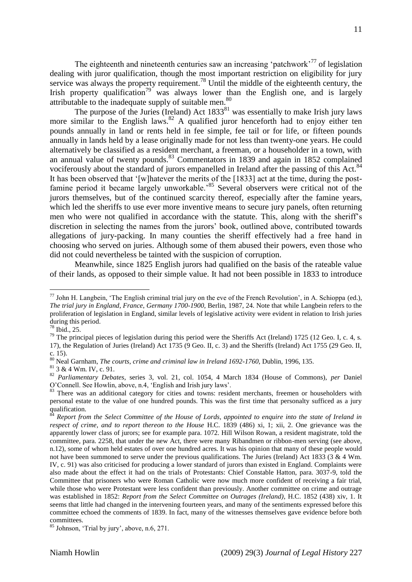The eighteenth and nineteenth centuries saw an increasing 'patchwork'<sup>77</sup> of legislation dealing with juror qualification, though the most important restriction on eligibility for jury service was always the property requirement.<sup>78</sup> Until the middle of the eighteenth century, the Irish property qualification<sup>79</sup> was always lower than the English one, and is largely attributable to the inadequate supply of suitable men.<sup>80</sup>

The purpose of the Juries (Ireland) Act  $1833^{81}$  was essentially to make Irish jury laws more similar to the English laws. $82$  A qualified juror henceforth had to enjoy either ten pounds annually in land or rents held in fee simple, fee tail or for life, or fifteen pounds annually in lands held by a lease originally made for not less than twenty-one years. He could alternatively be classified as a resident merchant, a freeman, or a householder in a town, with an annual value of twenty pounds.<sup>83</sup> Commentators in 1839 and again in 1852 complained vociferously about the standard of jurors empanelled in Ireland after the passing of this Act.<sup>84</sup> It has been observed that '[w]hatever the merits of the [1833] act at the time, during the postfamine period it became largely unworkable.<sup>85</sup> Several observers were critical not of the jurors themselves, but of the continued scarcity thereof, especially after the famine years, which led the sheriffs to use ever more inventive means to secure jury panels, often returning men who were not qualified in accordance with the statute. This, along with the sheriff's discretion in selecting the names from the jurors' book, outlined above, contributed towards allegations of jury-packing. In many counties the sheriff effectively had a free hand in choosing who served on juries. Although some of them abused their powers, even those who did not could nevertheless be tainted with the suspicion of corruption.

Meanwhile, since 1825 English jurors had qualified on the basis of the rateable value of their lands, as opposed to their simple value. It had not been possible in 1833 to introduce

 $77$  John H. Langbein, 'The English criminal trial jury on the eve of the French Revolution', in A. Schioppa (ed.), *The trial jury in England*, *France*, *Germany 1700-1900*, Berlin, 1987, 24. Note that while Langbein refers to the proliferation of legislation in England, similar levels of legislative activity were evident in relation to Irish juries during this period.

<sup>78</sup> Ibid., 25.

 $79$  The principal pieces of legislation during this period were the Sheriffs Act (Ireland) 1725 (12 Geo. I, c. 4, s. 17), the Regulation of Juries (Ireland) Act 1735 (9 Geo. II, c. 3) and the Sheriffs (Ireland) Act 1755 (29 Geo. II, c. 15).

<sup>80</sup> Neal Garnham, *The courts*, *crime and criminal law in Ireland 1692-1760*, Dublin, 1996, 135.

<sup>81</sup> 3 & 4 Wm. IV, c. 91.

<sup>82</sup> *Parliamentary Debates*, series 3, vol. 21, col. 1054, 4 March 1834 (House of Commons), *per* Daniel O'Connell. See Howlin, above, n.4, 'English and Irish jury laws'.

<sup>&</sup>lt;sup>83</sup> There was an additional category for cities and towns: resident merchants, freemen or householders with personal estate to the value of one hundred pounds. This was the first time that personalty sufficed as a jury qualification.

<sup>84</sup> *Report from the Select Committee of the House of Lords, appointed to enquire into the state of Ireland in respect of crime, and to report thereon to the House* H.C. 1839 (486) xi, 1; xii, 2. One grievance was the apparently lower class of jurors; see for example para. 1072. Hill Wilson Rowan, a resident magistrate, told the committee, para. 2258, that under the new Act, there were many Ribandmen or ribbon-men serving (see above, n.12), some of whom held estates of over one hundred acres. It was his opinion that many of these people would not have been summoned to serve under the previous qualifications. The Juries (Ireland) Act 1833 (3  $\&$  4 Wm. IV, c. 91) was also criticised for producing a lower standard of jurors than existed in England. Complaints were also made about the effect it had on the trials of Protestants: Chief Constable Hatton, para. 3037-9, told the Committee that prisoners who were Roman Catholic were now much more confident of receiving a fair trial, while those who were Protestant were less confident than previously. Another committee on crime and outrage was established in 1852: *Report from the Select Committee on Outrages (Ireland)*, H.C. 1852 (438) xiv, 1. It seems that little had changed in the intervening fourteen years, and many of the sentiments expressed before this committee echoed the comments of 1839. In fact, many of the witnesses themselves gave evidence before both committees.

<sup>85</sup> Johnson, 'Trial by jury', above, n.6, 271.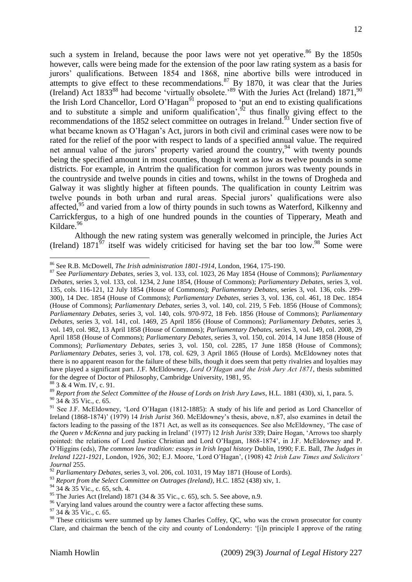such a system in Ireland, because the poor laws were not yet operative.<sup>86</sup> By the 1850s however, calls were being made for the extension of the poor law rating system as a basis for jurors' qualifications. Between 1854 and 1868, nine abortive bills were introduced in attempts to give effect to these recommendations. $87$  By 1870, it was clear that the Juries (Ireland) Act  $1833^{88}$  had become 'virtually obsolete.<sup>89</sup> With the Juries Act (Ireland)  $1871$ ,<sup>90</sup> the Irish Lord Chancellor, Lord O'Hagan<sup>91</sup> proposed to 'put an end to existing qualifications and to substitute a simple and uniform qualification',  $\frac{92}{2}$  thus finally giving effect to the recommendations of the 1852 select committee on outrages in Ireland.<sup> $93$ </sup> Under section five of what became known as O'Hagan's Act, jurors in both civil and criminal cases were now to be rated for the relief of the poor with respect to lands of a specified annual value. The required net annual value of the jurors' property varied around the country,<sup>94</sup> with twenty pounds being the specified amount in most counties, though it went as low as twelve pounds in some districts. For example, in Antrim the qualification for common jurors was twenty pounds in the countryside and twelve pounds in cities and towns, whilst in the towns of Drogheda and Galway it was slightly higher at fifteen pounds. The qualification in county Leitrim was twelve pounds in both urban and rural areas. Special jurors' qualifications were also affected,<sup>95</sup> and varied from a low of thirty pounds in such towns as Waterford, Kilkenny and Carrickfergus, to a high of one hundred pounds in the counties of Tipperary, Meath and Kildare.<sup>96</sup>

Although the new rating system was generally welcomed in principle, the Juries Act (Ireland)  $1871^{97}$  itself was widely criticised for having set the bar too low.<sup>98</sup> Some were

<sup>86</sup> See R.B. McDowell, *The Irish administration 1801-1914*, London, 1964, 175-190.

<sup>87</sup> See *Parliamentary Debates*, series 3, vol. 133, col. 1023, 26 May 1854 (House of Commons); *Parliamentary Debates*, series 3, vol. 133, col. 1234, 2 June 1854, (House of Commons); *Parliamentary Debates*, series 3, vol. 135, cols. 116-121, 12 July 1854 (House of Commons); *Parliamentary Debates*, series 3, vol. 136, cols. 299- 300), 14 Dec. 1854 (House of Commons); *Parliamentary Debates*, series 3, vol. 136, col. 461, 18 Dec. 1854 (House of Commons); *Parliamentary Debates*, series 3, vol. 140, col. 219, 5 Feb. 1856 (House of Commons); *Parliamentary Debates*, series 3, vol. 140, cols. 970-972, 18 Feb. 1856 (House of Commons); *Parliamentary Debates*, series 3, vol. 141, col. 1469, 25 April 1856 (House of Commons); *Parliamentary Debates*, series 3, vol. 149, col. 982, 13 April 1858 (House of Commons); *Parliamentary Debates*, series 3, vol. 149, col. 2008, 29 April 1858 (House of Commons); *Parliamentary Debates*, series 3, vol. 150, col. 2014, 14 June 1858 (House of Commons); *Parliamentary Debates*, series 3, vol. 150, col. 2285, 17 June 1858 (House of Commons); *Parliamentary Debates*, series 3, vol. 178, col. 629, 3 April 1865 (House of Lords). McEldowney notes that there is no apparent reason for the failure of these bills, though it does seem that petty rivalries and loyalties may have played a significant part. J.F. McEldowney, *Lord O'Hagan and the Irish Jury Act 1871*, thesis submitted for the degree of Doctor of Philosophy, Cambridge University, 1981, 95.

<sup>88</sup> 3 & 4 Wm. IV, c. 91.

<sup>89</sup> *Report from the Select Committee of the House of Lords on Irish Jury Laws*, H.L. 1881 (430), xi, 1, para. 5.  $90\,34$  & 35 Vic., c. 65.

<sup>&</sup>lt;sup>91</sup> See J.F. McEldowney, 'Lord O'Hagan (1812-1885): A study of his life and period as Lord Chancellor of Ireland (1868-1874)' (1979) 14 *Irish Jurist* 360. McEldowney's thesis, above, n.87, also examines in detail the factors leading to the passing of the 1871 Act, as well as its consequences. See also McEldowney, 'The case of *the Queen v McKenna* and jury packing in Ireland' (1977) 12 *Irish Jurist* 339; Daire Hogan, 'Arrows too sharply pointed: the relations of Lord Justice Christian and Lord O'Hagan, 1868-1874', in J.F. McEldowney and P. O'Higgins (eds), *The common law tradition: essays in Irish legal history* Dublin, 1990; F.E. Ball, *The Judges in Ireland 1221-1921*, London, 1926, 302; E.J. Moore, 'Lord O'Hagan', (1908) 42 *Irish Law Times and Solicitors' Journal* 255.

<sup>92</sup> *Parliamentary Debates*, series 3, vol. 206, col. 1031, 19 May 1871 (House of Lords).

<sup>93</sup> *Report from the Select Committee on Outrages (Ireland)*, H.C. 1852 (438) xiv, 1.

 $94$   $34$   $8$   $35$  Vic., c. 65, sch. 4.

<sup>&</sup>lt;sup>95</sup> The Juries Act (Ireland) 1871 (34 & 35 Vic., c. 65), sch. 5. See above, n.9.

<sup>&</sup>lt;sup>96</sup> Varving land values around the country were a factor affecting these sums.

 $97$  34 & 35 Vic., c. 65.

<sup>&</sup>lt;sup>98</sup> These criticisms were summed up by James Charles Coffey, QC, who was the crown prosecutor for county Clare, and chairman the bench of the city and county of Londonderry: '[i]n principle I approve of the rating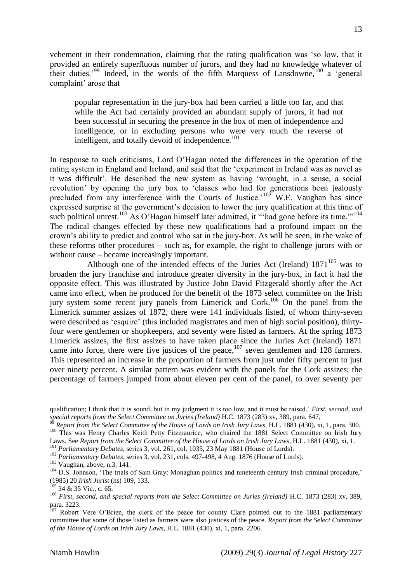vehement in their condemnation, claiming that the rating qualification was 'so low, that it provided an entirely superfluous number of jurors, and they had no knowledge whatever of their duties.<sup>'99</sup> Indeed, in the words of the fifth Marquess of Lansdowne, <sup>100</sup> a 'general complaint' arose that

popular representation in the jury-box had been carried a little too far, and that while the Act had certainly provided an abundant supply of jurors, it had not been successful in securing the presence in the box of men of independence and intelligence, or in excluding persons who were very much the reverse of intelligent, and totally devoid of independence.<sup>101</sup>

In response to such criticisms, Lord O'Hagan noted the differences in the operation of the rating system in England and Ireland, and said that the 'experiment in Ireland was as novel as it was difficult'. He described the new system as having 'wrought, in a sense, a social revolution' by opening the jury box to 'classes who had for generations been jealously precluded from any interference with the Courts of Justice.<sup>'102</sup> W.E. Vaughan has since expressed surprise at the government's decision to lower the jury qualification at this time of such political unrest.<sup>103</sup> As O'Hagan himself later admitted, it "'had gone before its time.'"<sup>104</sup> The radical changes effected by these new qualifications had a profound impact on the crown's ability to predict and control who sat in the jury-box. As will be seen, in the wake of these reforms other procedures – such as, for example, the right to challenge jurors with or without cause – became increasingly important.

Although one of the intended effects of the Juries Act (Ireland)  $1871^{105}$  was to broaden the jury franchise and introduce greater diversity in the jury-box, in fact it had the opposite effect. This was illustrated by Justice John David Fitzgerald shortly after the Act came into effect, when he produced for the benefit of the 1873 select committee on the Irish jury system some recent jury panels from Limerick and Cork.<sup>106</sup> On the panel from the Limerick summer assizes of 1872, there were 141 individuals listed, of whom thirty-seven were described as 'esquire' (this included magistrates and men of high social position), thirtyfour were gentlemen or shopkeepers, and seventy were listed as farmers. At the spring 1873 Limerick assizes, the first assizes to have taken place since the Juries Act (Ireland) 1871 came into force, there were five justices of the peace,  $107$  seven gentlemen and 128 farmers. This represented an increase in the proportion of farmers from just under fifty percent to just over ninety percent. A similar pattern was evident with the panels for the Cork assizes; the percentage of farmers jumped from about eleven per cent of the panel, to over seventy per

<sup>101</sup> *Parliamentary Debates*, series 3, vol. 261, col. 1035, 23 May 1881 (House of Lords).

qualification; I think that it is sound, but in my judgment it is too low, and it must be raised.' *First, second, and special reports from the Select Committee on Juries (Ireland)* H.C. 1873 (283) xv, 389, para. 647,

<sup>99</sup> *Report from the Select Committee of the House of Lords on Irish Jury Laws*, H.L. 1881 (430), xi, 1, para. 300. <sup>100</sup> This was Henry Charles Keith Petty Fitzmaurice, who chaired the 1881 Select Committee on Irish Jury Laws. See *Report from the Select Committee of the House of Lords on Irish Jury Laws*, H.L. 1881 (430), xi, 1.

<sup>102</sup> *Parliamentary Debates*, series 3, vol. 231, cols. 497-498, 4 Aug. 1876 (House of Lords).

<sup>103</sup> Vaughan, above, n.3, 141.

<sup>&</sup>lt;sup>104</sup> D.S. Johnson, 'The trials of Sam Gray: Monaghan politics and nineteenth century Irish criminal procedure,' (1985) 20 *Irish Jurist* (ns) 109, 133.

 $105$  34 & 35 Vic., c. 65.

<sup>&</sup>lt;sup>106</sup> First, second, and special reports from the Select Committee on Juries (Ireland) H.C. 1873 (283) xv, 389, para. 3223.

 $107$  Robert Vere O'Brien, the clerk of the peace for county Clare pointed out to the 1881 parliamentary committee that some of those listed as farmers were also justices of the peace. *Report from the Select Committee of the House of Lords on Irish Jury Laws*, H.L. 1881 (430), xi, 1, para. 2206.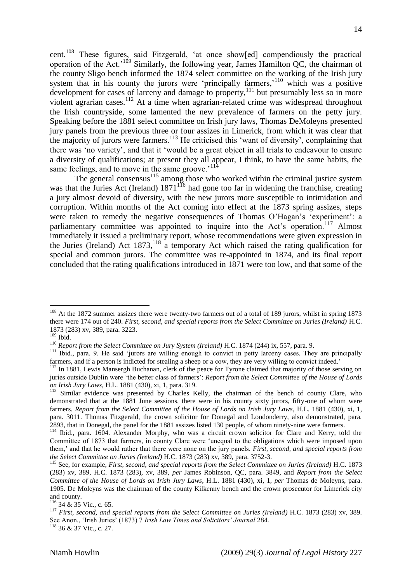cent.<sup>108</sup> These figures, said Fitzgerald, 'at once show[ed] compendiously the practical operation of the Act.<sup>'109</sup> Similarly, the following year, James Hamilton QC, the chairman of the county Sligo bench informed the 1874 select committee on the working of the Irish jury system that in his county the jurors were 'principally farmers,'<sup>110</sup> which was a positive development for cases of larceny and damage to property, $111$  but presumably less so in more violent agrarian cases.<sup>112</sup> At a time when agrarian-related crime was widespread throughout the Irish countryside, some lamented the new prevalence of farmers on the petty jury. Speaking before the 1881 select committee on Irish jury laws, Thomas DeMoleyns presented jury panels from the previous three or four assizes in Limerick, from which it was clear that the majority of jurors were farmers.<sup>113</sup> He criticised this 'want of diversity', complaining that there was 'no variety', and that it 'would be a great object in all trials to endeavour to ensure a diversity of qualifications; at present they all appear, I think, to have the same habits, the same feelings, and to move in the same groove.<sup>'114</sup>

The general consensus $^{115}$  among those who worked within the criminal justice system was that the Juries Act (Ireland)  $1871^{116}$  had gone too far in widening the franchise, creating a jury almost devoid of diversity, with the new jurors more susceptible to intimidation and corruption. Within months of the Act coming into effect at the 1873 spring assizes, steps were taken to remedy the negative consequences of Thomas O'Hagan's 'experiment': a parliamentary committee was appointed to inquire into the Act's operation.<sup>117</sup> Almost immediately it issued a preliminary report, whose recommendations were given expression in the Juries (Ireland) Act  $1873$ ,<sup>118</sup> a temporary Act which raised the rating qualification for special and common jurors. The committee was re-appointed in 1874, and its final report concluded that the rating qualifications introduced in 1871 were too low, and that some of the

<sup>&</sup>lt;sup>108</sup> At the 1872 summer assizes there were twenty-two farmers out of a total of 189 jurors, whilst in spring 1873 there were 174 out of 240. *First, second, and special reports from the Select Committee on Juries (Ireland)* H.C. 1873 (283) xv, 389, para. 3223.

 $109$  Ibid.

<sup>110</sup> *Report from the Select Committee on Jury System (Ireland)* H.C. 1874 (244) ix, 557, para. 9.

<sup>&</sup>lt;sup>111</sup> Ibid., para. 9. He said 'jurors are willing enough to convict in petty larceny cases. They are principally farmers, and if a person is indicted for stealing a sheep or a cow, they are very willing to convict indeed.'

<sup>&</sup>lt;sup>112</sup> In 1881, Lewis Mansergh Buchanan, clerk of the peace for Tyrone claimed that majority of those serving on juries outside Dublin were 'the better class of farmers': *Report from the Select Committee of the House of Lords on Irish Jury Laws*, H.L. 1881 (430), xi, 1, para. 319.

<sup>&</sup>lt;sup>113</sup> Similar evidence was presented by Charles Kelly, the chairman of the bench of county Clare, who demonstrated that at the 1881 June sessions, there were in his county sixty jurors, fifty-one of whom were farmers. *Report from the Select Committee of the House of Lords on Irish Jury Laws*, H.L. 1881 (430), xi, 1, para. 3011. Thomas Fitzgerald, the crown solicitor for Donegal and Londonderry, also demonstrated, para. 2893, that in Donegal, the panel for the 1881 assizes listed 130 people, of whom ninety-nine were farmers.

<sup>114</sup> Ibid., para. 1604. Alexander Morphy, who was a circuit crown solicitor for Clare and Kerry, told the Committee of 1873 that farmers, in county Clare were 'unequal to the obligations which were imposed upon them,' and that he would rather that there were none on the jury panels. *First, second, and special reports from the Select Committee on Juries (Ireland)* H.C. 1873 (283) xv, 389, para. 3752-3.

<sup>&</sup>lt;sup>115</sup> See, for example, *First, second, and special reports from the Select Committee on Juries (Ireland)* H.C. 1873 (283) xv, 389, H.C. 1873 (283), xv, 389, *per* James Robinson, QC, para. 3849, and *Report from the Select Committee of the House of Lords on Irish Jury Laws*, H.L. 1881 (430), xi, 1, *per* Thomas de Moleyns, para. 1905. De Moleyns was the chairman of the county Kilkenny bench and the crown prosecutor for Limerick city and county.

 $116$  34 & 35 Vic., c. 65.

<sup>117</sup> *First, second, and special reports from the Select Committee on Juries (Ireland)* H.C. 1873 (283) xv, 389. See Anon., 'Irish Juries' (1873) 7 *Irish Law Times and Solicitors' Journal* 284.  $118$  36 & 37 Vic., c. 27.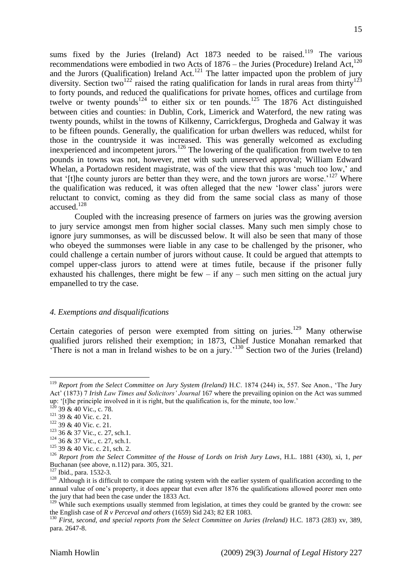sums fixed by the Juries (Ireland) Act 1873 needed to be raised.<sup>119</sup> The various recommendations were embodied in two Acts of  $1876$  – the Juries (Procedure) Ireland Act,<sup>120</sup> and the Jurors (Qualification) Ireland Act.<sup>121</sup> The latter impacted upon the problem of jury diversity. Section two<sup>122</sup> raised the rating qualification for lands in rural areas from thirty<sup>123</sup> to forty pounds, and reduced the qualifications for private homes, offices and curtilage from twelve or twenty pounds<sup>124</sup> to either six or ten pounds.<sup>125</sup> The 1876 Act distinguished between cities and counties: in Dublin, Cork, Limerick and Waterford, the new rating was twenty pounds, whilst in the towns of Kilkenny, Carrickfergus, Drogheda and Galway it was to be fifteen pounds. Generally, the qualification for urban dwellers was reduced, whilst for those in the countryside it was increased. This was generally welcomed as excluding inexperienced and incompetent jurors.<sup>126</sup> The lowering of the qualification from twelve to ten pounds in towns was not, however, met with such unreserved approval; William Edward Whelan, a Portadown resident magistrate, was of the view that this was 'much too low,' and that '[t]he county jurors are better than they were, and the town jurors are worse.<sup>'127</sup> Where the qualification was reduced, it was often alleged that the new 'lower class' jurors were reluctant to convict, coming as they did from the same social class as many of those accused.<sup>128</sup>

Coupled with the increasing presence of farmers on juries was the growing aversion to jury service amongst men from higher social classes. Many such men simply chose to ignore jury summonses, as will be discussed below. It will also be seen that many of those who obeyed the summonses were liable in any case to be challenged by the prisoner, who could challenge a certain number of jurors without cause. It could be argued that attempts to compel upper-class jurors to attend were at times futile, because if the prisoner fully exhausted his challenges, there might be few – if any – such men sitting on the actual jury empanelled to try the case.

## *4. Exemptions and disqualifications*

Certain categories of person were exempted from sitting on juries.<sup>129</sup> Many otherwise qualified jurors relished their exemption; in 1873, Chief Justice Monahan remarked that There is not a man in Ireland wishes to be on a jury.<sup>130</sup> Section two of the Juries (Ireland)

<sup>&</sup>lt;sup>119</sup> *Report from the Select Committee on Jury System (Ireland)* H.C. 1874 (244) ix, 557. See Anon., 'The Jury Act' (1873) 7 *Irish Law Times and Solicitors' Journal* 167 where the prevailing opinion on the Act was summed up: '[t]he principle involved in it is right, but the qualification is, for the minute, too low.'

 $120$  39 & 40 Vic., c. 78.

<sup>&</sup>lt;sup>121</sup> 39 & 40 Vic. c. 21.

<sup>&</sup>lt;sup>122</sup> 39 & 40 Vic. c. 21.

<sup>123 36 &</sup>amp; 37 Vic., c. 27, sch.1.

<sup>&</sup>lt;sup>124</sup> 36 & 37 Vic., c. 27, sch.1.

<sup>125 39 &</sup>amp; 40 Vic. c. 21, sch. 2.

<sup>126</sup> *Report from the Select Committee of the House of Lords on Irish Jury Laws*, H.L. 1881 (430), xi, 1, *per*  Buchanan (see above, n.112) para. 305, 321.

<sup>127</sup> Ibid., para. 1532-3.

<sup>&</sup>lt;sup>128</sup> Although it is difficult to compare the rating system with the earlier system of qualification according to the annual value of one's property, it does appear that even after 1876 the qualifications allowed poorer men onto the jury that had been the case under the 1833 Act.

<sup>&</sup>lt;sup>129</sup> While such exemptions usually stemmed from legislation, at times they could be granted by the crown: see the English case of *R v Perceval and others* (1659) Sid 243; 82 ER 1083.

<sup>&</sup>lt;sup>130</sup> First, second, and special reports from the Select Committee on Juries (Ireland) H.C. 1873 (283) xv, 389, para. 2647-8.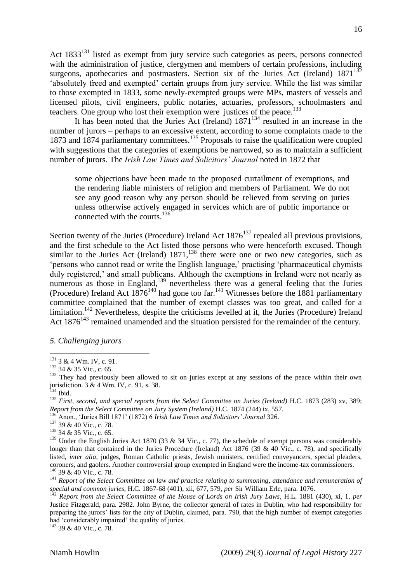Act  $1833^{131}$  listed as exempt from jury service such categories as peers, persons connected with the administration of justice, clergymen and members of certain professions, including surgeons, apothecaries and postmasters. Section six of the Juries Act (Ireland)  $1871^{132}$ 'absolutely freed and exempted' certain groups from jury service. While the list was similar to those exempted in 1833, some newly-exempted groups were MPs, masters of vessels and licensed pilots, civil engineers, public notaries, actuaries, professors, schoolmasters and teachers. One group who lost their exemption were justices of the peace. 133

It has been noted that the Juries Act (Ireland)  $1871^{134}$  resulted in an increase in the number of jurors – perhaps to an excessive extent, according to some complaints made to the 1873 and 1874 parliamentary committees. <sup>135</sup> Proposals to raise the qualification were coupled with suggestions that the categories of exemptions be narrowed, so as to maintain a sufficient number of jurors. The *Irish Law Times and Solicitors' Journal* noted in 1872 that

some objections have been made to the proposed curtailment of exemptions, and the rendering liable ministers of religion and members of Parliament. We do not see any good reason why any person should be relieved from serving on juries unless otherwise actively engaged in services which are of public importance or connected with the courts.<sup>136</sup>

Section twenty of the Juries (Procedure) Ireland Act  $1876^{137}$  repealed all previous provisions, and the first schedule to the Act listed those persons who were henceforth excused. Though similar to the Juries Act (Ireland) 1871,<sup>138</sup> there were one or two new categories, such as 'persons who cannot read or write the English language,' practising 'pharmaceutical chymists duly registered,' and small publicans. Although the exemptions in Ireland were not nearly as numerous as those in England, $1^{39}$  nevertheless there was a general feeling that the Juries (Procedure) Ireland Act  $1876^{140}$  had gone too far.<sup>141</sup> Witnesses before the 1881 parliamentary committee complained that the number of exempt classes was too great, and called for a limitation.<sup>142</sup> Nevertheless, despite the criticisms levelled at it, the Juries (Procedure) Ireland Act  $1876^{143}$  remained unamended and the situation persisted for the remainder of the century.

#### *5. Challenging jurors*

1

<sup>136</sup> Anon., 'Juries Bill 1871' (1872) 6 *Irish Law Times and Solicitors' Journal* 326.

<sup>138</sup> 34 & 35 Vic., c. 65.

 $143$  39 & 40 Vic., c. 78.

 $131$  3 & 4 Wm. IV, c. 91.

<sup>132 34 &</sup>amp; 35 Vic., c. 65.

<sup>&</sup>lt;sup>133</sup> They had previously been allowed to sit on juries except at any sessions of the peace within their own jurisdiction. 3 & 4 Wm. IV, c. 91, s. 38.

<sup>134</sup> Ibid.

<sup>135</sup> *First, second, and special reports from the Select Committee on Juries (Ireland)* H.C. 1873 (283) xv, 389; *Report from the Select Committee on Jury System (Ireland)* H.C. 1874 (244) ix, 557.

<sup>&</sup>lt;sup>137</sup> 39 & 40 Vic., c. 78.

<sup>&</sup>lt;sup>139</sup> Under the English Juries Act 1870 (33 & 34 Vic., c. 77), the schedule of exempt persons was considerably longer than that contained in the Juries Procedure (Ireland) Act 1876 (39 & 40 Vic., c. 78), and specifically listed, *inter alia*, judges, Roman Catholic priests, Jewish ministers, certified conveyancers, special pleaders, coroners, and gaolers. Another controversial group exempted in England were the income-tax commissioners. <sup>140</sup> 39 & 40 Vic., c. 78.

<sup>141</sup> *Report of the Select Committee on law and practice relating to summoning*, *attendance and remuneration of special and common juries*, H.C. 1867-68 (401), xii, 677, 579, *per* Sir William Erle, para. 1076.

<sup>142</sup> *Report from the Select Committee of the House of Lords on Irish Jury Laws*, H.L. 1881 (430), xi, 1, *per*  Justice Fitzgerald, para. 2982. John Byrne, the collector general of rates in Dublin, who had responsibility for preparing the jurors' lists for the city of Dublin, claimed, para. 790, that the high number of exempt categories had 'considerably impaired' the quality of juries.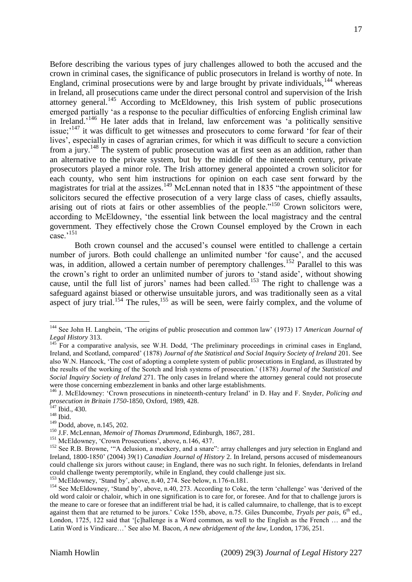Before describing the various types of jury challenges allowed to both the accused and the crown in criminal cases, the significance of public prosecutors in Ireland is worthy of note. In England, criminal prosecutions were by and large brought by private individuals, $144$  whereas in Ireland, all prosecutions came under the direct personal control and supervision of the Irish attorney general.<sup>145</sup> According to McEldowney, this Irish system of public prosecutions emerged partially 'as a response to the peculiar difficulties of enforcing English criminal law in Ireland.<sup>146</sup> He later adds that in Ireland, law enforcement was 'a politically sensitive issue;<sup>147</sup> it was difficult to get witnesses and prosecutors to come forward 'for fear of their lives', especially in cases of agrarian crimes, for which it was difficult to secure a conviction from a jury.<sup>148</sup> The system of public prosecution was at first seen as an addition, rather than an alternative to the private system, but by the middle of the nineteenth century, private prosecutors played a minor role. The Irish attorney general appointed a crown solicitor for each county, who sent him instructions for opinion on each case sent forward by the magistrates for trial at the assizes.<sup>149</sup> McLennan noted that in 1835 "the appointment of these solicitors secured the effective prosecution of a very large class of cases, chiefly assaults, arising out of riots at fairs or other assemblies of the people."<sup>150</sup> Crown solicitors were, according to McEldowney, 'the essential link between the local magistracy and the central government. They effectively chose the Crown Counsel employed by the Crown in each case.'<sup>151</sup>

Both crown counsel and the accused's counsel were entitled to challenge a certain number of jurors. Both could challenge an unlimited number 'for cause', and the accused was, in addition, allowed a certain number of peremptory challenges.<sup>152</sup> Parallel to this was the crown's right to order an unlimited number of jurors to 'stand aside', without showing cause, until the full list of jurors' names had been called.<sup>153</sup> The right to challenge was a safeguard against biased or otherwise unsuitable jurors, and was traditionally seen as a vital aspect of jury trial.<sup>154</sup> The rules,<sup>155</sup> as will be seen, were fairly complex, and the volume of

<sup>144</sup> See John H. Langbein, 'The origins of public prosecution and common law' (1973) 17 *American Journal of Legal History* 313.

<sup>&</sup>lt;sup>145</sup> For a comparative analysis, see W.H. Dodd, 'The preliminary proceedings in criminal cases in England, Ireland, and Scotland, compared' (1878) *Journal of the Statistical and Social Inquiry Society of Ireland* 201. See also W.N. Hancock, 'The cost of adopting a complete system of public prosecutions in England, as illustrated by the results of the working of the Scotch and Irish systems of prosecution.' (1878) *Journal of the Statistical and Social Inquiry Society of Ireland* 271. The only cases in Ireland where the attorney general could not prosecute were those concerning embezzlement in banks and other large establishments.

<sup>146</sup> J. McEldowney: 'Crown prosecutions in nineteenth-century Ireland' in D. Hay and F. Snyder, *Policing and prosecution in Britain 1750-*1850, Oxford, 1989, 428.

 $147$  Ibid., 430.

<sup>148</sup> Ibid.

<sup>&</sup>lt;sup>149</sup> Dodd, above, n.145, 202.

<sup>150</sup> J.F. McLennan, *Memoir of Thomas Drummond*, Edinburgh, 1867, 281.

<sup>&</sup>lt;sup>151</sup> McEldowney, 'Crown Prosecutions', above, n.146, 437.

<sup>&</sup>lt;sup>152</sup> See R.B. Browne, "A delusion, a mockery, and a snare": array challenges and jury selection in England and Ireland, 1800-1850' (2004) 39(1) *Canadian Journal of History* 2. In Ireland, persons accused of misdemeanours could challenge six jurors without cause; in England, there was no such right. In felonies, defendants in Ireland could challenge twenty peremptorily, while in England, they could challenge just six.

<sup>153</sup> McEldowney, 'Stand by', above, n.40, 274. See below, n.176-n.181.

<sup>&</sup>lt;sup>154</sup> See McEldowney, 'Stand by', above, n.40, 273. According to Coke, the term 'challenge' was 'derived of the old word caloir or chaloir, which in one signification is to care for, or foresee. And for that to challenge jurors is the meane to care or foresee that an indifferent trial be had, it is called calumnaire, to challenge, that is to except against them that are returned to be jurors.' Coke 155b, above, n.75. Giles Duncombe, *Tryals per pais*, 6<sup>th</sup> ed., London, 1725, 122 said that '[c]hallenge is a Word common, as well to the English as the French ... and the Latin Word is Vindicare…' See also M. Bacon, *A new abridgement of the law*, London, 1736, 251.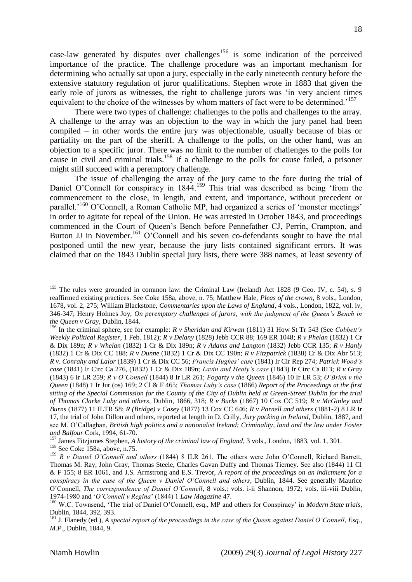case-law generated by disputes over challenges<sup>156</sup> is some indication of the perceived importance of the practice. The challenge procedure was an important mechanism for determining who actually sat upon a jury, especially in the early nineteenth century before the extensive statutory regulation of juror qualifications. Stephen wrote in 1883 that given the early role of jurors as witnesses, the right to challenge jurors was 'in very ancient times equivalent to the choice of the witnesses by whom matters of fact were to be determined.<sup>157</sup>

There were two types of challenge: challenges to the polls and challenges to the array. A challenge to the array was an objection to the way in which the jury panel had been compiled – in other words the entire jury was objectionable, usually because of bias or partiality on the part of the sheriff. A challenge to the polls, on the other hand, was an objection to a specific juror. There was no limit to the number of challenges to the polls for cause in civil and criminal trials.<sup>158</sup> If a challenge to the polls for cause failed, a prisoner might still succeed with a peremptory challenge.

The issue of challenging the array of the jury came to the fore during the trial of Daniel O'Connell for conspiracy in 1844.<sup>159</sup> This trial was described as being 'from the commencement to the close, in length, and extent, and importance, without precedent or parallel.<sup>'160</sup> O'Connell, a Roman Catholic MP, had organized a series of 'monster meetings' in order to agitate for repeal of the Union. He was arrested in October 1843, and proceedings commenced in the Court of Queen's Bench before Pennefather CJ, Perrin, Crampton, and Burton JJ in November.<sup>161</sup> O'Connell and his seven co-defendants sought to have the trial postponed until the new year, because the jury lists contained significant errors. It was claimed that on the 1843 Dublin special jury lists, there were 388 names, at least seventy of

<sup>&</sup>lt;sup>155</sup> The rules were grounded in common law: the Criminal Law (Ireland) Act 1828 (9 Geo. IV, c. 54), s. 9 reaffirmed existing practices. See Coke 158a, above, n. 75; Matthew Hale, *Pleas of the crown*, 8 vols., London, 1678, vol. 2, 275; William Blackstone, *Commentaries upon the Laws of England*, 4 vols., London, 1822, vol. iv, 346-347; Henry Holmes Joy, *On peremptory challenges of jurors*, *with the judgment of the Queen's Bench in the Queen v Gray*, Dublin, 1844.

<sup>156</sup> In the criminal sphere, see for example: *R v Sheridan and Kirwan* (1811) 31 How St Tr 543 (See *Cobbett's Weekly Political Register*, 1 Feb. 1812); *R v Delany* (1828) Jebb CCR 88; 169 ER 1048; *R v Phelan* (1832) 1 Cr & Dix 189n; *R v Whelan* (1832) 1 Cr & Dix 189n; *R v Adams and Langton* (1832) Jebb CCR 135; *R v Hanly* (1832) 1 Cr & Dix CC 188; *R v Dunne* (1832) 1 Cr & Dix CC 190n; *R v Fitzpatrick* (1838) Cr & Dix Abr 513; *R v*. *Conrahy and Lalor* (1839) 1 Cr & Dix CC 56; *Francis Hughes' case* (1841) Ir Cir Rep 274; *Patrick Wood's case* (1841) Ir Circ Ca 276, (1832) 1 Cr & Dix 189n; *Lavin and Healy's case* (1843) Ir Circ Ca 813; *R v Gray* (1843) 6 Ir LR 259; *R v O'Connell* (1844) 8 Ir LR 261; *Fogarty v the Queen* (1846) 10 Ir LR 53; *O'Brien v the Queen* (1848) 1 Ir Jur (os) 169; 2 Cl & F 465; *Thomas Luby's case* (1866) *Report of the Proceedings at the first sitting of the Special Commission for the County of the City of Dublin held at Green-Street Dublin for the trial of Thomas Clarke Luby and others*, Dublin, 1866, 318; *R v Burke* (1867) 10 Cox CC 519; *R v McGinley and Burns* (1877) 11 ILTR 58; *R (Bridge) v Casey* (1877) 13 Cox CC 646; *R v Parnell and others* (1881-2) 8 LR Ir 17, the trial of John Dillon and others, reported at length in D. Crilly, *Jury packing in Ireland*, Dublin, 1887, and see M. O'Callaghan, *British high politics and a nationalist Ireland: Criminality*, *land and the law under Foster and Balfour* Cork, 1994, 61-70.

<sup>157</sup> James Fitzjames Stephen, *A history of the criminal law of England*, 3 vols., London, 1883, vol. 1, 301. <sup>158</sup> See Coke 158a, above, n.75.

<sup>159</sup> *R v Daniel O'Connell and others* (1844) 8 ILR 261. The others were John O'Connell, Richard Barrett, Thomas M. Ray, John Gray, Thomas Steele, Charles Gavan Duffy and Thomas Tierney. See also (1844) 11 Cl & F 155; 8 ER 1061, and J.S. Armstrong and E.S. Trevor, *A report of the proceedings on an indictment for a conspiracy in the case of the Queen v Daniel O'Connell and others*, Dublin, 1844. See generally Maurice O'Connell, *The correspondence of Daniel O'Connell*, 8 vols.: vols. i-ii Shannon, 1972; vols. iii-viii Dublin, 1974-1980 and '*O'Connell v Regina*' (1844) 1 *Law Magazine* 47.

<sup>&</sup>lt;sup>160</sup> W.C. Townsend, 'The trial of Daniel O'Connell, esq., MP and others for Conspiracy' in *Modern State trials*, Dublin, 1844, 392, 393.

<sup>&</sup>lt;sup>161</sup> J. Flanedy (ed.), *A special report of the proceedings in the case of the Queen against Daniel O'Connell, <i>Esq.*, *M.P*., Dublin, 1844, 9.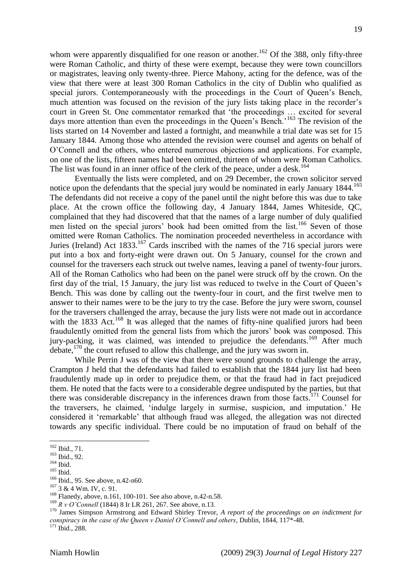whom were apparently disqualified for one reason or another.<sup>162</sup> Of the 388, only fifty-three were Roman Catholic, and thirty of these were exempt, because they were town councillors or magistrates, leaving only twenty-three. Pierce Mahony, acting for the defence, was of the view that there were at least 300 Roman Catholics in the city of Dublin who qualified as special jurors. Contemporaneously with the proceedings in the Court of Queen's Bench, much attention was focused on the revision of the jury lists taking place in the recorder's court in Green St. One commentator remarked that 'the proceedings … excited for several days more attention than even the proceedings in the Queen's Bench.<sup>163</sup> The revision of the lists started on 14 November and lasted a fortnight, and meanwhile a trial date was set for 15 January 1844. Among those who attended the revision were counsel and agents on behalf of O'Connell and the others, who entered numerous objections and applications. For example, on one of the lists, fifteen names had been omitted, thirteen of whom were Roman Catholics. The list was found in an inner office of the clerk of the peace, under a desk.<sup>164</sup>

Eventually the lists were completed, and on 29 December, the crown solicitor served notice upon the defendants that the special jury would be nominated in early January 1844.<sup>165</sup> The defendants did not receive a copy of the panel until the night before this was due to take place. At the crown office the following day, 4 January 1844, James Whiteside, QC, complained that they had discovered that that the names of a large number of duly qualified men listed on the special jurors' book had been omitted from the list.<sup>166</sup> Seven of those omitted were Roman Catholics. The nomination proceeded nevertheless in accordance with Juries (Ireland) Act 1833.<sup>167</sup> Cards inscribed with the names of the 716 special jurors were put into a box and forty-eight were drawn out. On 5 January, counsel for the crown and counsel for the traversers each struck out twelve names, leaving a panel of twenty-four jurors. All of the Roman Catholics who had been on the panel were struck off by the crown. On the first day of the trial, 15 January, the jury list was reduced to twelve in the Court of Queen's Bench. This was done by calling out the twenty-four in court, and the first twelve men to answer to their names were to be the jury to try the case. Before the jury were sworn, counsel for the traversers challenged the array, because the jury lists were not made out in accordance with the 1833 Act.<sup>168</sup> It was alleged that the names of fifty-nine qualified jurors had been fraudulently omitted from the general lists from which the jurors' book was composed. This jury-packing, it was claimed, was intended to prejudice the defendants.<sup>169</sup> After much debate,<sup>170</sup> the court refused to allow this challenge, and the jury was sworn in.

While Perrin J was of the view that there were sound grounds to challenge the array, Crampton J held that the defendants had failed to establish that the 1844 jury list had been fraudulently made up in order to prejudice them, or that the fraud had in fact prejudiced them. He noted that the facts were to a considerable degree undisputed by the parties, but that there was considerable discrepancy in the inferences drawn from those facts.<sup>171</sup> Counsel for the traversers, he claimed, 'indulge largely in surmise, suspicion, and imputation.' He considered it 'remarkable' that although fraud was alleged, the allegation was not directed towards any specific individual. There could be no imputation of fraud on behalf of the

<sup>162</sup> Ibid., 71.

<sup>163</sup> Ibid., 92.

 $^{164}$  Ibid.

<sup>&</sup>lt;sup>165</sup> Ibid.

<sup>&</sup>lt;sup>166</sup> Ibid., 95. See above, n.42-n60.

<sup>167</sup> 3 & 4 Wm. IV, c. 91.

<sup>168</sup> Flanedy, above, n.161, 100-101. See also above, n.42-n.58.

<sup>169</sup> *R v O'Connell* (1844) 8 Ir LR 261, 267. See above, n.13.

<sup>&</sup>lt;sup>170</sup> James Simpson Armstrong and Edward Shirley Trevor, *A report of the proceedings on an indictment for conspiracy in the case of the Queen v Daniel O'Connell and others*, Dublin, 1844, 117\*-48.

 $171$  Ibid., 288.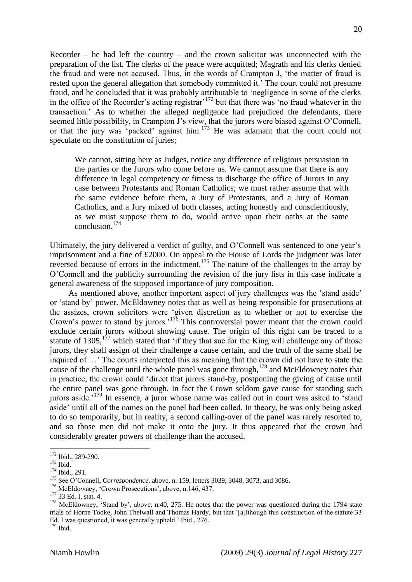Recorder – he had left the country – and the crown solicitor was unconnected with the preparation of the list. The clerks of the peace were acquitted; Magrath and his clerks denied the fraud and were not accused. Thus, in the words of Crampton J, 'the matter of fraud is rested upon the general allegation that somebody committed it.' The court could not presume fraud, and he concluded that it was probably attributable to 'negligence in some of the clerks in the office of the Recorder's acting registrar'<sup>172</sup> but that there was 'no fraud whatever in the transaction.' As to whether the alleged negligence had prejudiced the defendants, there seemed little possibility, in Crampton J's view, that the jurors were biased against O'Connell, or that the jury was 'packed' against him.<sup>173</sup> He was adamant that the court could not speculate on the constitution of juries;

We cannot, sitting here as Judges, notice any difference of religious persuasion in the parties or the Jurors who come before us. We cannot assume that there is any difference in legal competency or fitness to discharge the office of Jurors in any case between Protestants and Roman Catholics; we must rather assume that with the same evidence before them, a Jury of Protestants, and a Jury of Roman Catholics, and a Jury mixed of both classes, acting honestly and conscientiously, as we must suppose them to do, would arrive upon their oaths at the same conclusion.<sup>174</sup>

Ultimately, the jury delivered a verdict of guilty, and O'Connell was sentenced to one year's imprisonment and a fine of £2000. On appeal to the House of Lords the judgment was later reversed because of errors in the indictment.<sup>175</sup> The nature of the challenges to the array by O'Connell and the publicity surrounding the revision of the jury lists in this case indicate a general awareness of the supposed importance of jury composition.

As mentioned above, another important aspect of jury challenges was the 'stand aside' or 'stand by' power. McEldowney notes that as well as being responsible for prosecutions at the assizes, crown solicitors were 'given discretion as to whether or not to exercise the Crown's power to stand by jurors.<sup> $17\overline{6}$ </sup> This controversial power meant that the crown could exclude certain jurors without showing cause. The origin of this right can be traced to a statute of  $1305$ ,  $^{177}$  which stated that 'if they that sue for the King will challenge any of those jurors, they shall assign of their challenge a cause certain, and the truth of the same shall be inquired of …' The courts interpreted this as meaning that the crown did not have to state the cause of the challenge until the whole panel was gone through, $178$  and McEldowney notes that in practice, the crown could 'direct that jurors stand-by, postponing the giving of cause until the entire panel was gone through. In fact the Crown seldom gave cause for standing such jurors aside.'<sup>179</sup> In essence, a juror whose name was called out in court was asked to 'stand aside' until all of the names on the panel had been called. In theory, he was only being asked to do so temporarily, but in reality, a second calling-over of the panel was rarely resorted to, and so those men did not make it onto the jury. It thus appeared that the crown had considerably greater powers of challenge than the accused.

<sup>&</sup>lt;sup>172</sup> Ibid., 289-290.

<sup>&</sup>lt;sup>173</sup> Ibid.

<sup>174</sup> Ibid., 291.

<sup>175</sup> See O'Connell, *Correspondence*, above, n. 159, letters 3039, 3048, 3073, and 3086.

<sup>&</sup>lt;sup>176</sup> McEldowney, 'Crown Prosecutions', above, n.146, 437.

<sup>177</sup> 33 Ed. I, stat. 4.

<sup>&</sup>lt;sup>178</sup> McEldowney, 'Stand by', above, n.40, 275. He notes that the power was questioned during the 1794 state trials of Horne Tooke, John Thelwall and Thomas Hardy, but that '[a]lthough this construction of the statute 33 Ed. I was questioned, it was generally upheld.' Ibid., 276.

 $179$  Ibid.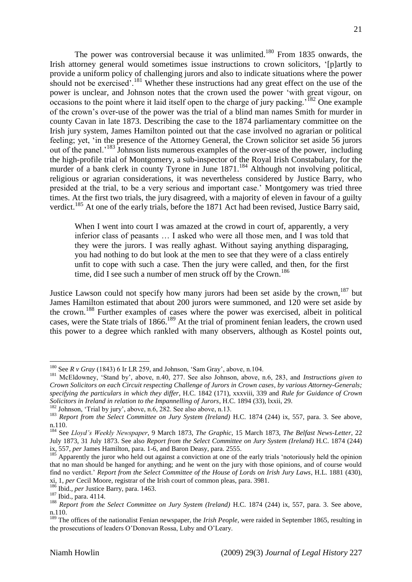The power was controversial because it was unlimited.<sup>180</sup> From 1835 onwards, the Irish attorney general would sometimes issue instructions to crown solicitors, '[p]artly to provide a uniform policy of challenging jurors and also to indicate situations where the power should not be exercised'.<sup>181</sup> Whether these instructions had any great effect on the use of the power is unclear, and Johnson notes that the crown used the power 'with great vigour, on occasions to the point where it laid itself open to the charge of jury packing.'<sup>182</sup> One example of the crown's over-use of the power was the trial of a blind man names Smith for murder in county Cavan in late 1873. Describing the case to the 1874 parliamentary committee on the Irish jury system, James Hamilton pointed out that the case involved no agrarian or political feeling; yet, 'in the presence of the Attorney General, the Crown solicitor set aside 56 jurors out of the panel.'<sup>183</sup> Johnson lists numerous examples of the over-use of the power, including the high-profile trial of Montgomery, a sub-inspector of the Royal Irish Constabulary, for the murder of a bank clerk in county Tyrone in June  $1871$ <sup>184</sup> Although not involving political, religious or agrarian considerations, it was nevertheless considered by Justice Barry, who presided at the trial, to be a very serious and important case.' Montgomery was tried three times. At the first two trials, the jury disagreed, with a majority of eleven in favour of a guilty verdict.<sup>185</sup> At one of the early trials, before the 1871 Act had been revised, Justice Barry said,

When I went into court I was amazed at the crowd in court of, apparently, a very inferior class of peasants … I asked who were all those men, and I was told that they were the jurors. I was really aghast. Without saying anything disparaging, you had nothing to do but look at the men to see that they were of a class entirely unfit to cope with such a case. Then the jury were called, and then, for the first time, did I see such a number of men struck off by the Crown.<sup>186</sup>

Justice Lawson could not specify how many jurors had been set aside by the crown,<sup>187</sup> but James Hamilton estimated that about 200 jurors were summoned, and 120 were set aside by the crown.<sup>188</sup> Further examples of cases where the power was exercised, albeit in political cases, were the State trials of 1866.<sup>189</sup> At the trial of prominent fenian leaders, the crown used this power to a degree which rankled with many observers, although as Kostel points out,

<sup>180</sup> See *R v Gray* (1843) 6 Ir LR 259, and Johnson, 'Sam Gray', above, n.104.

<sup>181</sup> McEldowney, 'Stand by', above, n.40, 277. See also Johnson, above, n.6, 283, and *Instructions given to Crown Solicitors on each Circuit respecting Challenge of Jurors in Crown cases*, *by various Attorney-Generals; specifying the particulars in which they differ*, H.C. 1842 (171), xxxviii, 339 and *Rule for Guidance of Crown Solicitors in Ireland in relation to the Impannelling of Jurors*, H.C. 1894 (33), lxxii, 29.

<sup>&</sup>lt;sup>182</sup> Johnson, 'Trial by jury', above, n.6, 282. See also above, n.13.

<sup>&</sup>lt;sup>183</sup> *Report from the Select Committee on Jury System (Ireland)* H.C. 1874 (244) ix, 557, para. 3. See above, n.110.

<sup>184</sup> See *Lloyd's Weekly Newspaper*, 9 March 1873, *The Graphic*, 15 March 1873, *The Belfast News-Letter*, 22 July 1873, 31 July 1873. See also *Report from the Select Committee on Jury System (Ireland)* H.C. 1874 (244) ix, 557, *per* James Hamilton, para. 1-6, and Baron Deasy, para. 2555.

<sup>&</sup>lt;sup>185</sup> Apparently the juror who held out against a conviction at one of the early trials 'notoriously held the opinion that no man should be hanged for anything; and he went on the jury with those opinions, and of course would find no verdict.' *Report from the Select Committee of the House of Lords on Irish Jury Laws*, H.L. 1881 (430), xi, 1, *per* Cecil Moore, registrar of the Irish court of common pleas, para. 3981.

<sup>186</sup> Ibid., *per* Justice Barry, para. 1463.

<sup>187</sup> Ibid., para. 4114.

<sup>&</sup>lt;sup>188</sup> Report from the Select Committee on Jury System (Ireland) H.C. 1874 (244) ix, 557, para. 3. See above, n.110.

<sup>&</sup>lt;sup>189</sup> The offices of the nationalist Fenian newspaper, the *Irish People*, were raided in September 1865, resulting in the prosecutions of leaders O'Donovan Rossa, Luby and O'Leary.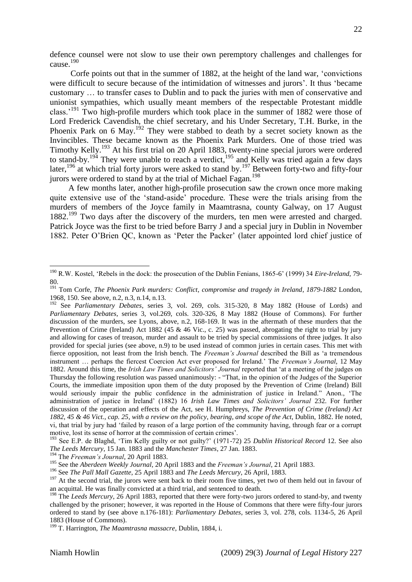defence counsel were not slow to use their own peremptory challenges and challenges for cause.<sup>190</sup>

Corfe points out that in the summer of 1882, at the height of the land war, 'convictions were difficult to secure because of the intimidation of witnesses and jurors'. It thus 'became customary … to transfer cases to Dublin and to pack the juries with men of conservative and unionist sympathies, which usually meant members of the respectable Protestant middle class.<sup>'191</sup> Two high-profile murders which took place in the summer of 1882 were those of Lord Frederick Cavendish, the chief secretary, and his Under Secretary, T.H. Burke, in the Phoenix Park on 6 May.<sup>192</sup> They were stabbed to death by a secret society known as the Invincibles. These became known as the Phoenix Park Murders. One of those tried was Timothy Kelly.<sup>193</sup> At his first trial on 20 April 1883, twenty-nine special jurors were ordered to stand-by.<sup>194</sup> They were unable to reach a verdict,<sup>195</sup> and Kelly was tried again a few days later,<sup>196</sup> at which trial forty jurors were asked to stand by.<sup>197</sup> Between forty-two and fifty-four jurors were ordered to stand by at the trial of Michael Fagan.<sup>198</sup>

A few months later, another high-profile prosecution saw the crown once more making quite extensive use of the 'stand-aside' procedure. These were the trials arising from the murders of members of the Joyce family in Maamtrasna, county Galway, on 17 August 1882.<sup>199</sup> Two days after the discovery of the murders, ten men were arrested and charged. Patrick Joyce was the first to be tried before Barry J and a special jury in Dublin in November 1882. Peter O'Brien QC, known as 'Peter the Packer' (later appointed lord chief justice of

<sup>190</sup> R.W. Kostel, 'Rebels in the dock: the prosecution of the Dublin Fenians, 1865-6' (1999) 34 *Eire-Ireland*, 79- 80.

<sup>191</sup> Tom Corfe, *The Phoenix Park murders: Conflict*, *compromise and tragedy in Ireland*, *1879-1882* London, 1968, 150. See above, n.2, n.3, n.14, n.13.

<sup>192</sup> See *Parliamentary Debates*, series 3, vol. 269, cols. 315-320, 8 May 1882 (House of Lords) and *Parliamentary Debates*, series 3, vol.269, cols. 320-326, 8 May 1882 (House of Commons). For further discussion of the murders, see Lyons, above, n.2, 168-169. It was in the aftermath of these murders that the Prevention of Crime (Ireland) Act 1882 (45 & 46 Vic., c. 25) was passed, abrogating the right to trial by jury and allowing for cases of treason, murder and assault to be tried by special commissions of three judges. It also provided for special juries (see above, n.9) to be used instead of common juries in certain cases. This met with fierce opposition, not least from the Irish bench. The *Freeman's Journal* described the Bill as 'a tremendous instrument … perhaps the fiercest Coercion Act ever proposed for Ireland.' The *Freeman's Journal*, 12 May 1882. Around this time, the *Irish Law Times and Solicitors' Journal* reported that 'at a meeting of the judges on Thursday the following resolution was passed unanimously: - "That, in the opinion of the Judges of the Superior Courts, the immediate imposition upon them of the duty proposed by the Prevention of Crime (Ireland) Bill would seriously impair the public confidence in the administration of justice in Ireland." Anon., 'The administration of justice in Ireland' (1882) 16 *Irish Law Times and Solicitors' Journal* 232. For further discussion of the operation and effects of the Act, see H. Humphreys, *The Prevention of Crime (Ireland) Act 1882*, *45 & 46 Vict.*, *cap. 25*, *with a review on the policy*, *bearing*, *and scope of the Act*, Dublin, 1882. He noted, vi, that trial by jury had 'failed by reason of a large portion of the community having, through fear or a corrupt motive, lost its sense of horror at the commission of certain crimes'.

<sup>193</sup> See E.P. de Blaghd, 'Tim Kelly guilty or not guilty?' (1971-72) 25 *Dublin Historical Record* 12. See also *The Leeds Mercury*, 15 Jan. 1883 and the *Manchester Times*, 27 Jan. 1883.

<sup>194</sup> The *Freeman's Journal*, 20 April 1883.

<sup>195</sup> See the *Aberdeen Weekly Journal*, 20 April 1883 and the *Freeman's Journal*, 21 April 1883.

<sup>196</sup> See *The Pall Mall Gazette*, 25 April 1883 and *The Leeds Mercury*, 26 April, 1883.

<sup>&</sup>lt;sup>197</sup> At the second trial, the jurors were sent back to their room five times, yet two of them held out in favour of an acquittal. He was finally convicted at a third trial, and sentenced to death.

<sup>&</sup>lt;sup>198</sup> The *Leeds Mercury*, 26 April 1883, reported that there were forty-two jurors ordered to stand-by, and twenty challenged by the prisoner; however, it was reported in the House of Commons that there were fifty-four jurors ordered to stand by (see above n.176-181): *Parliamentary Debates*, series 3, vol. 278, cols. 1134-5, 26 April 1883 (House of Commons).

<sup>199</sup> T. Harrington, *The Maamtrasna massacre*, Dublin, 1884, i.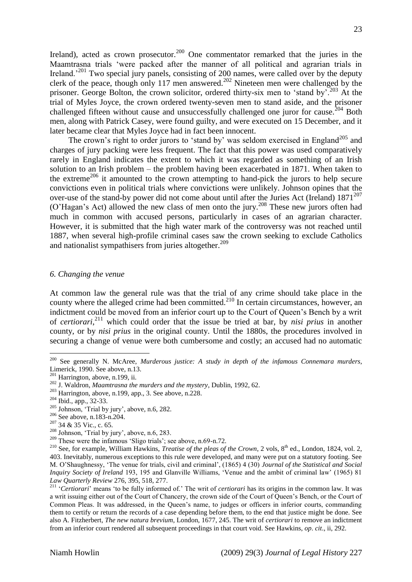Ireland), acted as crown prosecutor.<sup>200</sup> One commentator remarked that the juries in the Maamtrasna trials 'were packed after the manner of all political and agrarian trials in Ireland.<sup>201</sup> Two special jury panels, consisting of 200 names, were called over by the deputy clerk of the peace, though only 117 men answered.<sup>202</sup> Nineteen men were challenged by the prisoner. George Bolton, the crown solicitor, ordered thirty-six men to 'stand by'.<sup>203</sup> At the trial of Myles Joyce, the crown ordered twenty-seven men to stand aside, and the prisoner challenged fifteen without cause and unsuccessfully challenged one juror for cause.<sup>204</sup> Both men, along with Patrick Casey, were found guilty, and were executed on 15 December, and it later became clear that Myles Joyce had in fact been innocent.

The crown's right to order jurors to 'stand by' was seldom exercised in England<sup>205</sup> and charges of jury packing were less frequent. The fact that this power was used comparatively rarely in England indicates the extent to which it was regarded as something of an Irish solution to an Irish problem – the problem having been exacerbated in 1871. When taken to the extreme<sup>206</sup> it amounted to the crown attempting to hand-pick the jurors to help secure convictions even in political trials where convictions were unlikely. Johnson opines that the over-use of the stand-by power did not come about until after the Juries Act (Ireland)  $1871^{207}$ (O'Hagan's Act) allowed the new class of men onto the jury.<sup>208</sup> These new jurors often had much in common with accused persons, particularly in cases of an agrarian character. However, it is submitted that the high water mark of the controversy was not reached until 1887, when several high-profile criminal cases saw the crown seeking to exclude Catholics and nationalist sympathisers from juries altogether.<sup>209</sup>

#### *6. Changing the venue*

At common law the general rule was that the trial of any crime should take place in the county where the alleged crime had been committed.<sup>210</sup> In certain circumstances, however, an indictment could be moved from an inferior court up to the Court of Queen's Bench by a writ of *certiorari*, <sup>211</sup> which could order that the issue be tried at bar, by *nisi prius* in another county, or by *nisi prius* in the original county. Until the 1880s, the procedures involved in securing a change of venue were both cumbersome and costly; an accused had no automatic

<sup>200</sup> See generally N. McAree, *Murderous justice: A study in depth of the infamous Connemara murders*, Limerick, 1990. See above, n.13.

 $201$  Harrington, above, n.199, ii.

<sup>202</sup> J. Waldron, *Maamtrasna the murders and the mystery*, Dublin, 1992, 62.

<sup>203</sup> Harrington, above, n.199, app., 3. See above, n.228.

<sup>204</sup> Ibid., app., 32-33.

<sup>205</sup> Johnson, 'Trial by jury', above, n.6, 282.

<sup>206</sup> See above, n.183-n.204.

<sup>&</sup>lt;sup>207</sup> 34 & 35 Vic., c. 65.

<sup>208</sup> Johnson, 'Trial by jury', above, n.6, 283.

<sup>209</sup> These were the infamous 'Sligo trials'; see above, n.69-n.72.

<sup>&</sup>lt;sup>210</sup> See, for example, William Hawkins, *Treatise of the pleas of the Crown*, 2 vols,  $8<sup>th</sup>$  ed., London, 1824, vol. 2, 403. Inevitably, numerous exceptions to this rule were developed, and many were put on a statutory footing. See M. O'Shaughnessy, 'The venue for trials, civil and criminal', (1865) 4 (30) *Journal of the Statistical and Social Inquiry Society of Ireland* 193, 195 and Glanville Williams, 'Venue and the ambit of criminal law' (1965) 81 *Law Quarterly Review* 276, 395, 518, 277.

<sup>&</sup>lt;sup>211</sup> '*Certiorari*' means 'to be fully informed of.' The writ of *certiorari* has its origins in the common law. It was a writ issuing either out of the Court of Chancery, the crown side of the Court of Queen's Bench, or the Court of Common Pleas. It was addressed, in the Queen's name, to judges or officers in inferior courts, commanding them to certify or return the records of a case depending before them, to the end that justice might be done. See also A. Fitzherbert, *The new natura brevium*, London, 1677, 245. The writ of *certiorari* to remove an indictment from an inferior court rendered all subsequent proceedings in that court void. See Hawkins, *op*. *cit*., ii, 292.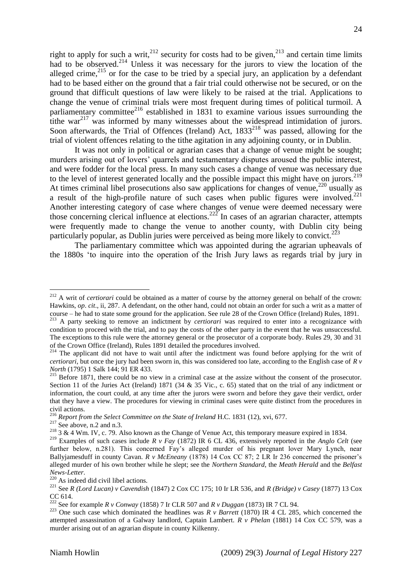right to apply for such a writ,<sup>212</sup> security for costs had to be given,<sup>213</sup> and certain time limits had to be observed.<sup>214</sup> Unless it was necessary for the jurors to view the location of the alleged crime,  $215$  or for the case to be tried by a special jury, an application by a defendant had to be based either on the ground that a fair trial could otherwise not be secured, or on the ground that difficult questions of law were likely to be raised at the trial. Applications to change the venue of criminal trials were most frequent during times of political turmoil. A parliamentary committee<sup>216</sup> established in 1831 to examine various issues surrounding the tithe war $^{217}$  was informed by many witnesses about the widespread intimidation of jurors. Soon afterwards, the Trial of Offences (Ireland) Act,  $1833^{218}$  was passed, allowing for the trial of violent offences relating to the tithe agitation in any adjoining county, or in Dublin.

It was not only in political or agrarian cases that a change of venue might be sought; murders arising out of lovers' quarrels and testamentary disputes aroused the public interest, and were fodder for the local press. In many such cases a change of venue was necessary due to the level of interest generated locally and the possible impact this might have on jurors.<sup>219</sup> At times criminal libel prosecutions also saw applications for changes of venue,  $220$  usually as a result of the high-profile nature of such cases when public figures were involved. $221$ Another interesting category of case where changes of venue were deemed necessary were those concerning clerical influence at elections.<sup>222</sup> In cases of an agrarian character, attempts were frequently made to change the venue to another county, with Dublin city being particularly popular, as Dublin juries were perceived as being more likely to convict.<sup>223</sup>

The parliamentary committee which was appointed during the agrarian upheavals of the 1880s 'to inquire into the operation of the Irish Jury laws as regards trial by jury in

<sup>&</sup>lt;sup>212</sup> A writ of *certiorari* could be obtained as a matter of course by the attorney general on behalf of the crown: Hawkins, *op*. *cit*., ii, 287. A defendant, on the other hand, could not obtain an order for such a writ as a matter of course – he had to state some ground for the application. See rule 28 of the Crown Office (Ireland) Rules, 1891.

<sup>&</sup>lt;sup>213</sup> A party seeking to remove an indictment by *certiorari* was required to enter into a recognizance with condition to proceed with the trial, and to pay the costs of the other party in the event that he was unsuccessful. The exceptions to this rule were the attorney general or the prosecutor of a corporate body. Rules 29, 30 and 31 of the Crown Office (Ireland), Rules 1891 detailed the procedures involved.

<sup>&</sup>lt;sup>214</sup> The applicant did not have to wait until after the indictment was found before applying for the writ of *certiorari*, but once the jury had been sworn in, this was considered too late, according to the English case of *R v North* (1795) 1 Salk 144; 91 ER 433.

<sup>&</sup>lt;sup>215</sup> Before 1871, there could be no view in a criminal case at the assize without the consent of the prosecutor. Section 11 of the Juries Act (Ireland) 1871 (34 & 35 Vic., c. 65) stated that on the trial of any indictment or information, the court could, at any time after the jurors were sworn and before they gave their verdict, order that they have a view. The procedures for viewing in criminal cases were quite distinct from the procedures in civil actions.

<sup>216</sup> *Report from the Select Committee on the State of Ireland* H.C. 1831 (12), xvi, 677.

 $2^{17}$  See above, n.2 and n.3.

<sup>218</sup> 3 & 4 Wm. IV, c. 79. Also known as the Change of Venue Act, this temporary measure expired in 1834.

<sup>219</sup> Examples of such cases include *R v Fay* (1872) IR 6 CL 436, extensively reported in the *Anglo Celt* (see further below, n.281). This concerned Fay's alleged murder of his pregnant lover Mary Lynch, near Ballyjamesduff in county Cavan. *R v McEneany* (1878) 14 Cox CC 87; 2 LR Ir 236 concerned the prisoner's alleged murder of his own brother while he slept; see the *Northern Standard*, the *Meath Herald* and the *Belfast News-Letter*.

<sup>220</sup> As indeed did civil libel actions.

<sup>221</sup> See *R (Lord Lucan) v Cavendish* (1847) 2 Cox CC 175; 10 Ir LR 536, and *R (Bridge) v Casey* (1877) 13 Cox CC 614.

<sup>&</sup>lt;sup>222</sup> See for example *R v Conway* (1858) 7 Ir CLR 507 and *R v Duggan* (1873) IR 7 CL 94.

<sup>&</sup>lt;sup>223</sup> One such case which dominated the headlines was *R v Barrett* (1870) IR 4 CL 285, which concerned the attempted assassination of a Galway landlord, Captain Lambert. *R v Phelan* (1881) 14 Cox CC 579, was a murder arising out of an agrarian dispute in county Kilkenny.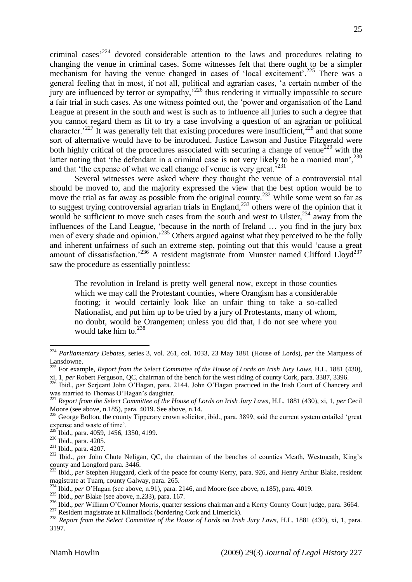criminal cases<sup> $224$ </sup> devoted considerable attention to the laws and procedures relating to changing the venue in criminal cases. Some witnesses felt that there ought to be a simpler mechanism for having the venue changed in cases of 'local excitement'.<sup>225</sup> There was a general feeling that in most, if not all, political and agrarian cases, 'a certain number of the jury are influenced by terror or sympathy,<sup> $226$ </sup> thus rendering it virtually impossible to secure a fair trial in such cases. As one witness pointed out, the 'power and organisation of the Land League at present in the south and west is such as to influence all juries to such a degree that you cannot regard them as fit to try a case involving a question of an agrarian or political character.<sup>227</sup> It was generally felt that existing procedures were insufficient,<sup>228</sup> and that some sort of alternative would have to be introduced. Justice Lawson and Justice Fitzgerald were both highly critical of the procedures associated with securing a change of venue<sup>229</sup> with the latter noting that 'the defendant in a criminal case is not very likely to be a monied man', <sup>230</sup> and that 'the expense of what we call change of venue is very great.<sup>5231</sup>

Several witnesses were asked where they thought the venue of a controversial trial should be moved to, and the majority expressed the view that the best option would be to move the trial as far away as possible from the original county.<sup>232</sup> While some went so far as to suggest trying controversial agrarian trials in England,<sup>233</sup> others were of the opinion that it would be sufficient to move such cases from the south and west to Ulster,  $234$  away from the influences of the Land League, 'because in the north of Ireland … you find in the jury box men of every shade and opinion.<sup>235</sup> Others argued against what they perceived to be the folly and inherent unfairness of such an extreme step, pointing out that this would 'cause a great amount of dissatisfaction.<sup>236</sup> A resident magistrate from Munster named Clifford Lloyd<sup>237</sup> saw the procedure as essentially pointless:

The revolution in Ireland is pretty well general now, except in those counties which we may call the Protestant counties, where Orangism has a considerable footing; it would certainly look like an unfair thing to take a so-called Nationalist, and put him up to be tried by a jury of Protestants, many of whom, no doubt, would be Orangemen; unless you did that, I do not see where you would take him to. $^{238}$ 

<sup>224</sup> *Parliamentary Debates*, series 3, vol. 261, col. 1033, 23 May 1881 (House of Lords), *per* the Marquess of Lansdowne.

<sup>225</sup> For example, *Report from the Select Committee of the House of Lords on Irish Jury Laws*, H.L. 1881 (430), xi, 1, *per* Robert Ferguson, QC, chairman of the bench for the west riding of county Cork, para. 3387, 3396.

<sup>226</sup> Ibid., *per* Serjeant John O'Hagan, para. 2144. John O'Hagan practiced in the Irish Court of Chancery and was married to Thomas O'Hagan's daughter.

<sup>227</sup> *Report from the Select Committee of the House of Lords on Irish Jury Laws*, H.L. 1881 (430), xi, 1, *per* Cecil Moore (see above, n.185), para. 4019. See above, n.14.

<sup>&</sup>lt;sup>228</sup> George Bolton, the county Tipperary crown solicitor, ibid., para. 3899, said the current system entailed 'great expense and waste of time'.

 $229$  Ibid., para. 4059, 1456, 1350, 4199.

<sup>230</sup> Ibid., para. 4205.

<sup>&</sup>lt;sup>231</sup> Ibid., para. 4207.

<sup>&</sup>lt;sup>232</sup> Ibid., *per* John Chute Neligan, QC, the chairman of the benches of counties Meath, Westmeath, King's county and Longford para. 3446.

<sup>&</sup>lt;sup>233</sup> Ibid., *per* Stephen Huggard, clerk of the peace for county Kerry, para. 926, and Henry Arthur Blake, resident magistrate at Tuam, county Galway, para. 265.

<sup>234</sup> Ibid., *per* O'Hagan (see above, n.91), para. 2146, and Moore (see above, n.185), para. 4019.

<sup>235</sup> Ibid., *per* Blake (see above, n.233), para. 167.

<sup>&</sup>lt;sup>236</sup> Ibid., *per* William O'Connor Morris, quarter sessions chairman and a Kerry County Court judge, para. 3664.

<sup>&</sup>lt;sup>237</sup> Resident magistrate at Kilmallock (bordering Cork and Limerick).

<sup>238</sup> *Report from the Select Committee of the House of Lords on Irish Jury Laws*, H.L. 1881 (430), xi, 1, para. 3197.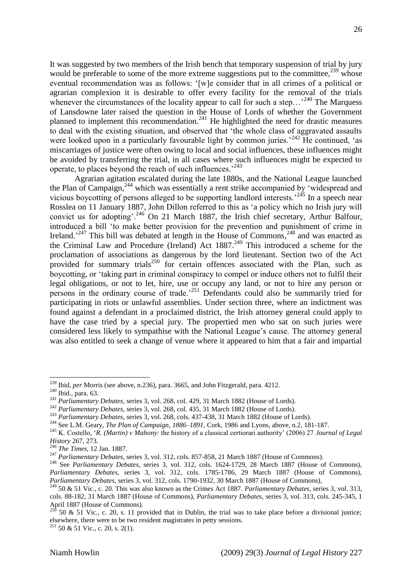It was suggested by two members of the Irish bench that temporary suspension of trial by jury would be preferable to some of the more extreme suggestions put to the committee.<sup>239</sup> whose eventual recommendation was as follows: '[w]e consider that in all crimes of a political or agrarian complexion it is desirable to offer every facility for the removal of the trials whenever the circumstances of the locality appear to call for such a step...<sup>240</sup> The Marquess of Lansdowne later raised the question in the House of Lords of whether the Government planned to implement this recommendation.<sup>241</sup> He highlighted the need for drastic measures to deal with the existing situation, and observed that 'the whole class of aggravated assaults were looked upon in a particularly favourable light by common juries.<sup> $242$ </sup> He continued, 'as miscarriages of justice were often owing to local and social influences, these influences might be avoided by transferring the trial, in all cases where such influences might be expected to operate, to places beyond the reach of such influences.<sup>243</sup>

Agrarian agitation escalated during the late 1880s, and the National League launched the Plan of Campaign,<sup>244</sup> which was essentially a rent strike accompanied by 'widespread and vicious boycotting of persons alleged to be supporting landlord interests.<sup>245</sup> In a speech near Rosslea on 11 January 1887, John Dillon referred to this as 'a policy which no Irish jury will convict us for adopting'.<sup>246</sup> On 21 March 1887, the Irish chief secretary, Arthur Balfour, introduced a bill 'to make better provision for the prevention and punishment of crime in Ireland.<sup>247</sup> This bill was debated at length in the House of Commons,<sup>248</sup> and was enacted as the Criminal Law and Procedure (Ireland) Act  $1887$ .<sup>249</sup> This introduced a scheme for the proclamation of associations as dangerous by the lord lieutenant. Section two of the Act provided for summary trials<sup>250</sup> for certain offences associated with the Plan, such as boycotting, or 'taking part in criminal conspiracy to compel or induce others not to fulfil their legal obligations, or not to let, hire, use or occupy any land, or not to hire any person or persons in the ordinary course of trade.'<sup>251</sup> Defendants could also be summarily tried for participating in riots or unlawful assemblies. Under section three, where an indictment was found against a defendant in a proclaimed district, the Irish attorney general could apply to have the case tried by a special jury. The propertied men who sat on such juries were considered less likely to sympathise with the National League's cause. The attorney general was also entitled to seek a change of venue where it appeared to him that a fair and impartial

<sup>239</sup> Ibid, *per* Morris (see above, n.236), para. 3665, and John Fitzgerald, para. 4212.

<sup>240</sup> Ibid., para. 63.

<sup>241</sup> *Parliamentary Debates*, series 3, vol. 268, col. 429, 31 March 1882 (House of Lords).

<sup>242</sup> *Parliamentary Debates*, series 3, vol. 268, col. 435, 31 March 1882 (House of Lords).

<sup>243</sup> *Parliamentary Debates*, series 3, vol. 268, cols. 437-438, 31 March 1882 (House of Lords).

<sup>244</sup> See L.M. Geary, *The Plan of Campaign*, *1886–1891*, Cork, 1986 and Lyons, above, n.2, 181-187.

<sup>245</sup> K. Costello, '*R*. *(Martin) v Mahony*: the history of a classical certiorari authority' (2006) 27 *Journal of Legal History* 267, 273.

<sup>246</sup> *The Times*, 12 Jan. 1887.

<sup>&</sup>lt;sup>247</sup> *Parliamentary Debates*, series 3, vol. 312, cols. 857-858, 21 March 1887 (House of Commons).

<sup>248</sup> See *Parliamentary Debates*, series 3, vol. 312, cols. 1624-1729, 28 March 1887 (House of Commons), *Parliamentary Debates*, series 3, vol. 312, cols. 1785-1786, 29 March 1887 (House of Commons), *Parliamentary Debates*, series 3, vol. 312, cols. 1790-1932, 30 March 1887 (House of Commons),

<sup>249</sup> 50 & 51 Vic., c. 20. This was also known as the Crimes Act 1887. *Parliamentary Debates*, series 3, vol. 313, cols. 88-182, 31 March 1887 (House of Commons), *Parliamentary Debates*, series 3, vol. 313, cols. 245-345, 1 April 1887 (House of Commons).

<sup>250</sup> 50 & 51 Vic., c. 20, s. 11 provided that in Dublin, the trial was to take place before a divisional justice; elsewhere, there were to be two resident magistrates in petty sessions.

 $251$  50 & 51 Vic., c. 20, s. 2(1).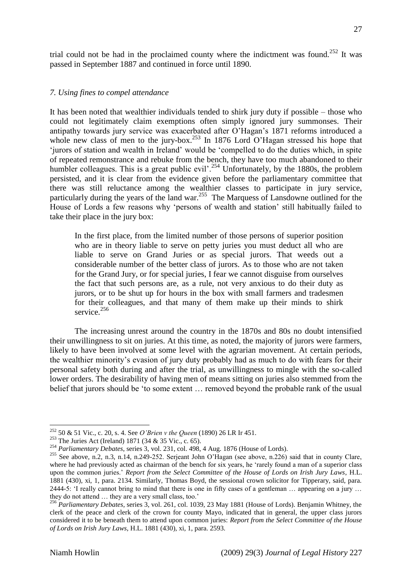trial could not be had in the proclaimed county where the indictment was found.<sup>252</sup> It was passed in September 1887 and continued in force until 1890.

## *7. Using fines to compel attendance*

It has been noted that wealthier individuals tended to shirk jury duty if possible – those who could not legitimately claim exemptions often simply ignored jury summonses. Their antipathy towards jury service was exacerbated after O'Hagan's 1871 reforms introduced a whole new class of men to the jury-box.<sup>253</sup> In 1876 Lord O'Hagan stressed his hope that 'jurors of station and wealth in Ireland' would be 'compelled to do the duties which, in spite of repeated remonstrance and rebuke from the bench, they have too much abandoned to their humbler colleagues. This is a great public evil'.<sup>254</sup> Unfortunately, by the 1880s, the problem persisted, and it is clear from the evidence given before the parliamentary committee that there was still reluctance among the wealthier classes to participate in jury service, particularly during the years of the land war.<sup>255</sup> The Marquess of Lansdowne outlined for the House of Lords a few reasons why 'persons of wealth and station' still habitually failed to take their place in the jury box:

In the first place, from the limited number of those persons of superior position who are in theory liable to serve on petty juries you must deduct all who are liable to serve on Grand Juries or as special jurors. That weeds out a considerable number of the better class of jurors. As to those who are not taken for the Grand Jury, or for special juries, I fear we cannot disguise from ourselves the fact that such persons are, as a rule, not very anxious to do their duty as jurors, or to be shut up for hours in the box with small farmers and tradesmen for their colleagues, and that many of them make up their minds to shirk service.<sup>256</sup>

The increasing unrest around the country in the 1870s and 80s no doubt intensified their unwillingness to sit on juries. At this time, as noted, the majority of jurors were farmers, likely to have been involved at some level with the agrarian movement. At certain periods, the wealthier minority's evasion of jury duty probably had as much to do with fears for their personal safety both during and after the trial, as unwillingness to mingle with the so-called lower orders. The desirability of having men of means sitting on juries also stemmed from the belief that jurors should be 'to some extent … removed beyond the probable rank of the usual

<sup>252</sup> 50 & 51 Vic., c. 20, s. 4. See *O'Brien v the Queen* (1890) 26 LR Ir 451.

<sup>&</sup>lt;sup>253</sup> The Juries Act (Ireland) 1871 (34 & 35 Vic., c. 65).

<sup>254</sup> *Parliamentary Debates*, series 3, vol. 231, col. 498, 4 Aug. 1876 (House of Lords).

<sup>255</sup> See above, n.2, n.3, n.14, n.249-252. Serjeant John O'Hagan (see above, n.226) said that in county Clare, where he had previously acted as chairman of the bench for six years, he 'rarely found a man of a superior class upon the common juries.' *Report from the Select Committee of the House of Lords on Irish Jury Laws*, H.L. 1881 (430), xi, 1, para. 2134. Similarly, Thomas Boyd, the sessional crown solicitor for Tipperary, said, para. 2444-5: 'I really cannot bring to mind that there is one in fifty cases of a gentleman … appearing on a jury … they do not attend … they are a very small class, too.'

<sup>256</sup> *Parliamentary Debates*, series 3, vol. 261, col. 1039, 23 May 1881 (House of Lords). Benjamin Whitney, the clerk of the peace and clerk of the crown for county Mayo, indicated that in general, the upper class jurors considered it to be beneath them to attend upon common juries: *Report from the Select Committee of the House of Lords on Irish Jury Laws*, H.L. 1881 (430), xi, 1, para. 2593.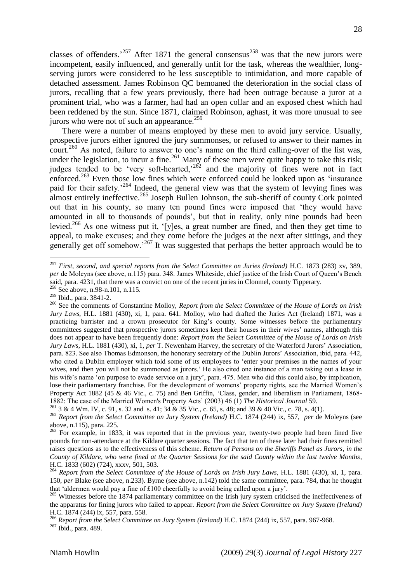classes of offenders.<sup>257</sup> After 1871 the general consensus<sup>258</sup> was that the new jurors were incompetent, easily influenced, and generally unfit for the task, whereas the wealthier, longserving jurors were considered to be less susceptible to intimidation, and more capable of detached assessment. James Robinson QC bemoaned the deterioration in the social class of jurors, recalling that a few years previously, there had been outrage because a juror at a prominent trial, who was a farmer, had had an open collar and an exposed chest which had been reddened by the sun. Since 1871, claimed Robinson, aghast, it was more unusual to see jurors who were not of such an appearance.<sup>259</sup>

There were a number of means employed by these men to avoid jury service. Usually, prospective jurors either ignored the jury summonses, or refused to answer to their names in court.<sup>260</sup> As noted, failure to answer to one's name on the third calling-over of the list was, under the legislation, to incur a fine.<sup>261</sup> Many of these men were quite happy to take this risk; judges tended to be 'very soft-hearted, $2^{62}$  and the majority of fines were not in fact enforced.<sup>263</sup> Even those low fines which were enforced could be looked upon as 'insurance paid for their safety.'<sup>264</sup> Indeed, the general view was that the system of levying fines was almost entirely ineffective.<sup>265</sup> Joseph Bullen Johnson, the sub-sheriff of county Cork pointed out that in his county, so many ten pound fines were imposed that 'they would have amounted in all to thousands of pounds', but that in reality, only nine pounds had been levied.<sup>266</sup> As one witness put it, '[y]es, a great number are fined, and then they get time to appeal, to make excuses; and they come before the judges at the next after sittings, and they generally get off somehow.'<sup>267</sup> It was suggested that perhaps the better approach would be to

<sup>257</sup> *First, second, and special reports from the Select Committee on Juries (Ireland)* H.C. 1873 (283) xv, 389, *per* de Moleyns (see above, n.115) para. 348. James Whiteside, chief justice of the Irish Court of Queen's Bench said, para. 4231, that there was a convict on one of the recent juries in Clonmel, county Tipperary. <sup>258</sup> See above, n.98-n.101, n.115.

<sup>259</sup> Ibid., para. 3841-2.

<sup>&</sup>lt;sup>260</sup> See the comments of Constantine Molloy, *Report from the Select Committee of the House of Lords on Irish Jury Laws*, H.L. 1881 (430), xi, 1, para. 641. Molloy, who had drafted the Juries Act (Ireland) 1871, was a practicing barrister and a crown prosecutor for King's county. Some witnesses before the parliamentary committees suggested that prospective jurors sometimes kept their houses in their wives' names, although this does not appear to have been frequently done: *Report from the Select Committee of the House of Lords on Irish Jury Laws*, H.L. 1881 (430), xi, 1, *per* T. Newenham Harvey, the secretary of the Waterford Jurors' Association, para. 823. See also Thomas Edmonson, the honorary secretary of the Dublin Jurors' Association, ibid, para. 442, who cited a Dublin employer which told some of its employees to 'enter your premises in the names of your wives, and then you will not be summoned as jurors.' He also cited one instance of a man taking out a lease in his wife's name 'on purpose to evade service on a jury', para. 475. Men who did this could also, by implication, lose their parliamentary franchise. For the development of womens' property rights, see the Married Women's Property Act 1882 (45 & 46 Vic., c. 75) and Ben Griffin, 'Class, gender, and liberalism in Parliament, 1868- 1882: The case of the Married Women's Property Acts' (2003) 46 (1) *The Historical Journal* 59.

<sup>&</sup>lt;sup>261</sup> 3 & 4 Wm. IV, c. 91, s. 32 and s. 41; 34 & 35 Vic., c. 65, s. 48; and 39 & 40 Vic., c. 78, s. 4(1).

<sup>262</sup> *Report from the Select Committee on Jury System (Ireland)* H.C. 1874 (244) ix, 557, *per* de Moleyns (see above, n.115), para. 225.

<sup>&</sup>lt;sup>263</sup> For example, in 1833, it was reported that in the previous year, twenty-two people had been fined five pounds for non-attendance at the Kildare quarter sessions*.* The fact that ten of these later had their fines remitted raises questions as to the effectiveness of this scheme. *Return of Persons on the Sheriffs Panel as Jurors*, *in the County of Kildare*, *who were fined at the Quarter Sessions for the said County within the last twelve Months*, H.C. 1833 (602) (724), xxxv, 501, 503.

<sup>264</sup> *Report from the Select Committee of the House of Lords on Irish Jury Laws*, H.L. 1881 (430), xi, 1, para. 150, *per* Blake (see above, n.233). Byrne (see above, n.142) told the same committee, para. 784, that he thought that 'aldermen would pay a fine of £100 cheerfully to avoid being called upon a jury'.

<sup>&</sup>lt;sup>265</sup> Witnesses before the 1874 parliamentary committee on the Irish jury system criticised the ineffectiveness of the apparatus for fining jurors who failed to appear. *Report from the Select Committee on Jury System (Ireland)*  H.C. 1874 (244) ix, 557, para. 558.

<sup>266</sup> *Report from the Select Committee on Jury System (Ireland)* H.C. 1874 (244) ix, 557, para. 967-968. <sup>267</sup> Ibid., para. 489.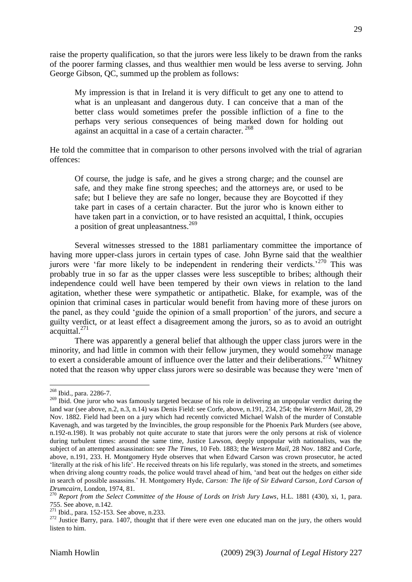raise the property qualification, so that the jurors were less likely to be drawn from the ranks of the poorer farming classes, and thus wealthier men would be less averse to serving. John George Gibson, QC, summed up the problem as follows:

My impression is that in Ireland it is very difficult to get any one to attend to what is an unpleasant and dangerous duty. I can conceive that a man of the better class would sometimes prefer the possible infliction of a fine to the perhaps very serious consequences of being marked down for holding out against an acquittal in a case of a certain character. <sup>268</sup>

He told the committee that in comparison to other persons involved with the trial of agrarian offences:

Of course, the judge is safe, and he gives a strong charge; and the counsel are safe, and they make fine strong speeches; and the attorneys are, or used to be safe; but I believe they are safe no longer, because they are Boycotted if they take part in cases of a certain character. But the juror who is known either to have taken part in a conviction, or to have resisted an acquittal, I think, occupies a position of great unpleasantness.<sup>269</sup>

Several witnesses stressed to the 1881 parliamentary committee the importance of having more upper-class jurors in certain types of case. John Byrne said that the wealthier jurors were 'far more likely to be independent in rendering their verdicts.'<sup>270</sup> This was probably true in so far as the upper classes were less susceptible to bribes; although their independence could well have been tempered by their own views in relation to the land agitation, whether these were sympathetic or antipathetic. Blake, for example, was of the opinion that criminal cases in particular would benefit from having more of these jurors on the panel, as they could 'guide the opinion of a small proportion' of the jurors, and secure a guilty verdict, or at least effect a disagreement among the jurors, so as to avoid an outright  $acouittal.<sup>271</sup>$ 

There was apparently a general belief that although the upper class jurors were in the minority, and had little in common with their fellow jurymen, they would somehow manage to exert a considerable amount of influence over the latter and their deliberations.<sup>272</sup> Whitney noted that the reason why upper class jurors were so desirable was because they were 'men of

<sup>268</sup> Ibid., para. 2286-7.

<sup>&</sup>lt;sup>269</sup> Ibid. One juror who was famously targeted because of his role in delivering an unpopular verdict during the land war (see above, n.2, n.3, n.14) was Denis Field: see Corfe, above, n.191, 234, 254; the *Western Mail*, 28, 29 Nov. 1882. Field had been on a jury which had recently convicted Michael Walsh of the murder of Constable Kavenagh, and was targeted by the Invincibles, the group responsible for the Phoenix Park Murders (see above, n.192-n.198). It was probably not quite accurate to state that jurors were the only persons at risk of violence during turbulent times: around the same time, Justice Lawson, deeply unpopular with nationalists, was the subject of an attempted assassination: see *The Times*, 10 Feb. 1883; the *Western Mail*, 28 Nov. 1882 and Corfe, above, n.191, 233. H. Montgomery Hyde observes that when Edward Carson was crown prosecutor, he acted 'literally at the risk of his life'. He received threats on his life regularly, was stoned in the streets, and sometimes when driving along country roads, the police would travel ahead of him, 'and beat out the hedges on either side in search of possible assassins.' H. Montgomery Hyde, *Carson: The life of Sir Edward Carson*, *Lord Carson of Drumcairn*, London, 1974, 81.

<sup>270</sup> *Report from the Select Committee of the House of Lords on Irish Jury Laws*, H.L. 1881 (430), xi, 1, para. 755. See above, n.142.

 $^{271}$  Ibid., para. 152-153. See above, n.233.

<sup>&</sup>lt;sup>272</sup> Justice Barry, para. 1407, thought that if there were even one educated man on the jury, the others would listen to him.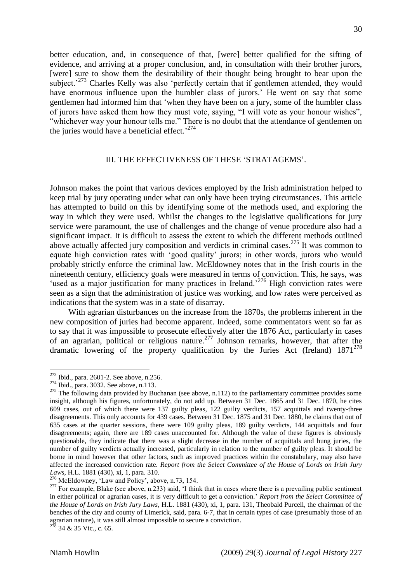better education, and, in consequence of that, [were] better qualified for the sifting of evidence, and arriving at a proper conclusion, and, in consultation with their brother jurors, [were] sure to show them the desirability of their thought being brought to bear upon the subject.<sup>273</sup> Charles Kelly was also 'perfectly certain that if gentlemen attended, they would have enormous influence upon the humbler class of jurors.' He went on say that some gentlemen had informed him that 'when they have been on a jury, some of the humbler class of jurors have asked them how they must vote, saying, "I will vote as your honour wishes", "whichever way your honour tells me." There is no doubt that the attendance of gentlemen on the juries would have a beneficial effect.<sup>274</sup>

## III. THE EFFECTIVENESS OF THESE 'STRATAGEMS'.

Johnson makes the point that various devices employed by the Irish administration helped to keep trial by jury operating under what can only have been trying circumstances. This article has attempted to build on this by identifying some of the methods used, and exploring the way in which they were used. Whilst the changes to the legislative qualifications for jury service were paramount, the use of challenges and the change of venue procedure also had a significant impact. It is difficult to assess the extent to which the different methods outlined above actually affected jury composition and verdicts in criminal cases. <sup>275</sup> It was common to equate high conviction rates with 'good quality' jurors; in other words, jurors who would probably strictly enforce the criminal law. McEldowney notes that in the Irish courts in the nineteenth century, efficiency goals were measured in terms of conviction. This, he says, was 'used as a major justification for many practices in Ireland.'<sup>276</sup> High conviction rates were seen as a sign that the administration of justice was working, and low rates were perceived as indications that the system was in a state of disarray.

With agrarian disturbances on the increase from the 1870s, the problems inherent in the new composition of juries had become apparent. Indeed, some commentators went so far as to say that it was impossible to prosecute effectively after the 1876 Act, particularly in cases of an agrarian, political or religious nature.<sup>277</sup> Johnson remarks, however, that after the dramatic lowering of the property qualification by the Juries Act (Ireland)  $1871^{278}$ 

 $273$  Ibid., para. 2601-2. See above, n.256.

<sup>274</sup> Ibid., para. 3032. See above, n.113.

 $275$  The following data provided by Buchanan (see above, n.112) to the parliamentary committee provides some insight, although his figures, unfortunately, do not add up. Between 31 Dec. 1865 and 31 Dec. 1870, he cites 609 cases, out of which there were 137 guilty pleas, 122 guilty verdicts, 157 acquittals and twenty-three disagreements. This only accounts for 439 cases. Between 31 Dec. 1875 and 31 Dec. 1880, he claims that out of 635 cases at the quarter sessions, there were 109 guilty pleas, 189 guilty verdicts, 144 acquittals and four disagreements; again, there are 189 cases unaccounted for. Although the value of these figures is obviously questionable, they indicate that there was a slight decrease in the number of acquittals and hung juries, the number of guilty verdicts actually increased, particularly in relation to the number of guilty pleas. It should be borne in mind however that other factors, such as improved practices within the constabulary, may also have affected the increased conviction rate. *Report from the Select Committee of the House of Lords on Irish Jury Laws*, H.L. 1881 (430), xi, 1, para. 310.

<sup>&</sup>lt;sup>276</sup> McEldowney, 'Law and Policy', above, n.73, 154.

 $277$  For example, Blake (see above, n.233) said, 'I think that in cases where there is a prevailing public sentiment in either political or agrarian cases, it is very difficult to get a conviction.' *Report from the Select Committee of the House of Lords on Irish Jury Laws*, H.L. 1881 (430), xi, 1, para. 131, Theobald Purcell, the chairman of the benches of the city and county of Limerick, said, para. 6-7, that in certain types of case (presumably those of an agrarian nature), it was still almost impossible to secure a conviction.

 $278$  34 & 35 Vic., c. 65.